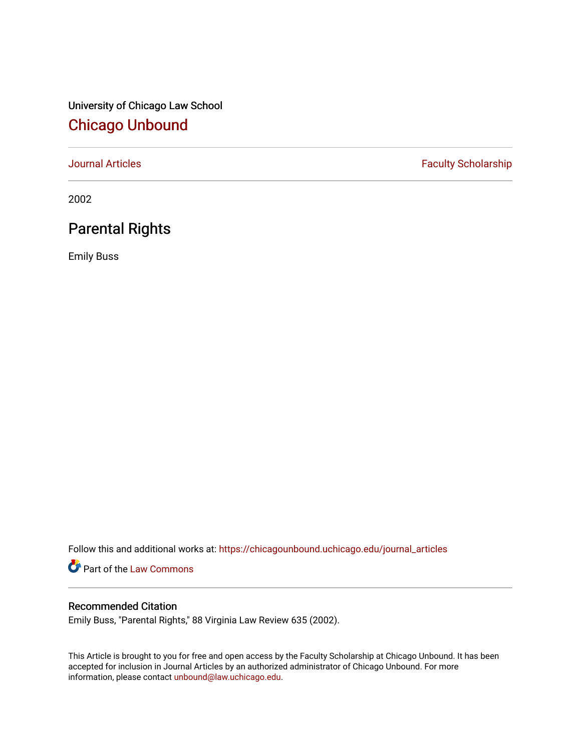University of Chicago Law School [Chicago Unbound](https://chicagounbound.uchicago.edu/)

[Journal Articles](https://chicagounbound.uchicago.edu/journal_articles) **Faculty Scholarship Faculty Scholarship** 

2002

# Parental Rights

Emily Buss

Follow this and additional works at: [https://chicagounbound.uchicago.edu/journal\\_articles](https://chicagounbound.uchicago.edu/journal_articles?utm_source=chicagounbound.uchicago.edu%2Fjournal_articles%2F1079&utm_medium=PDF&utm_campaign=PDFCoverPages) 

Part of the [Law Commons](http://network.bepress.com/hgg/discipline/578?utm_source=chicagounbound.uchicago.edu%2Fjournal_articles%2F1079&utm_medium=PDF&utm_campaign=PDFCoverPages)

# Recommended Citation

Emily Buss, "Parental Rights," 88 Virginia Law Review 635 (2002).

This Article is brought to you for free and open access by the Faculty Scholarship at Chicago Unbound. It has been accepted for inclusion in Journal Articles by an authorized administrator of Chicago Unbound. For more information, please contact [unbound@law.uchicago.edu](mailto:unbound@law.uchicago.edu).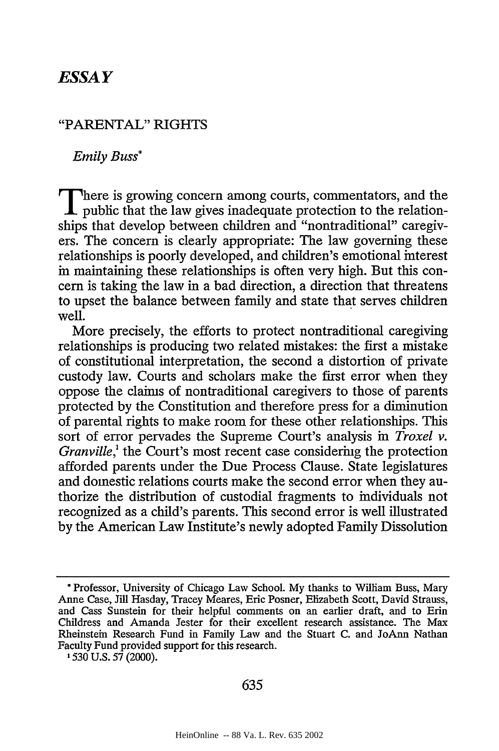# *ESSAY*

## "PARENTAL" RIGHTS

*Emily Buss\**

**There is growing concern among courts, commentators, and the** public that the law gives inadequate protection to the relationships that develop between children and "nontraditional" caregivers. The concern is clearly appropriate: The law governing these relationships is poorly developed, and children's emotional interest in maintaining these relationships is often very high. But this concern is taking the law in a bad direction, a direction that threatens to upset the balance between family and state that serves children well.

More precisely, the efforts to protect nontraditional caregiving relationships is producing two related mistakes: the first a mistake of constitutional interpretation, the second a distortion of private custody law. Courts and scholars make the first error when they oppose the claims of nontraditional caregivers to those of parents protected by the Constitution and therefore press for a diminution of parental rights to make room for these other relationships. This sort of error pervades the Supreme Court's analysis in *Troxel v. Granville*,<sup>1</sup> the Court's most recent case considering the protection afforded parents under the Due Process Clause. State legislatures and domestic relations courts make the second error when they authorize the distribution of custodial fragments to individuals not recognized as a child's parents. This second error is well illustrated by the American Law Institute's newly adopted Family Dissolution

**1530** U.S. **57** (2000).

**<sup>\*</sup>** Professor, University of Chicago Law School. My thanks to William Buss, Mary Anne Case, Jill Hasday, Tracey Meares, Eric Posner, Elizabeth Scott, David Strauss, and Cass Sunstein for their helpful comments on an earlier draft, and to Erin Childress and Amanda Jester for their excellent research assistance. The Max Rheinstein Research Fund in Family Law and the Stuart C. and JoAnn Nathan Faculty Fund provided support for this research.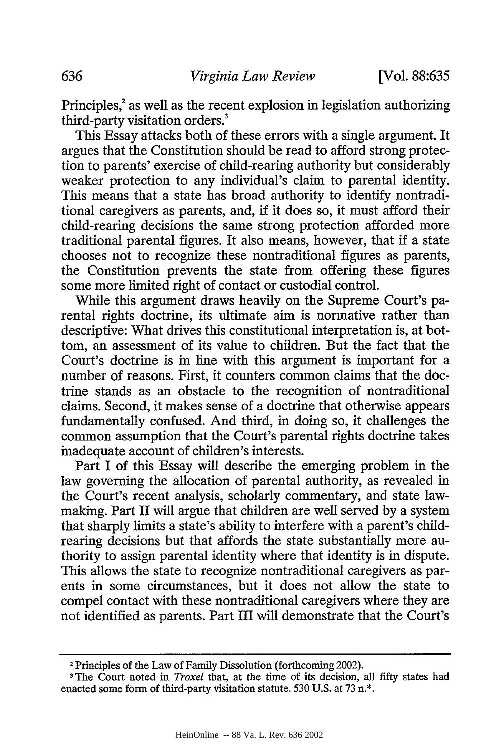Principles,<sup>2</sup> as well as the recent explosion in legislation authorizing third-party visitation orders.<sup>3</sup>

This Essay attacks both of these errors with a single argument. It argues that the Constitution should be read to afford strong protection to parents' exercise of child-rearing authority but considerably weaker protection to any individual's claim to parental identity. This means that a state has broad authority to identify nontraditional caregivers as parents, and, if it does so, it must afford their child-rearing decisions the same strong protection afforded more traditional parental figures. It also means, however, that if a state chooses not to recognize these nontraditional figures as parents, the Constitution prevents the state from offering these figures some more limited right of contact or custodial control.

While this argument draws heavily on the Supreme Court's parental rights doctrine, its ultimate aim is normative rather than descriptive: What drives this constitutional interpretation is, at bottom, an assessment of its value to children. But the fact that the Court's doctrine is in line with this argument is important for a number of reasons. First, it counters common claims that the doctrine stands as an obstacle to the recognition of nontraditional claims. Second, it makes sense of a doctrine that otherwise appears fundamentally confused. And third, in doing so, it challenges the common assumption that the Court's parental rights doctrine takes inadequate account of children's interests.

Part I of this Essay will describe the emerging problem in the law governing the allocation of parental authority, as revealed in the Court's recent analysis, scholarly commentary, and state lawmaking. Part II will argue that children are well served by a system that sharply limits a state's ability to interfere with a parent's childrearing decisions but that affords the state substantially more authority to assign parental identity where that identity is in dispute. This allows the state to recognize nontraditional caregivers as parents in some circumstances, but it does not allow the state to compel contact with these nontraditional caregivers where they are not identified as parents. Part III will demonstrate that the Court's

<sup>2</sup> Principles of the Law of Family Dissolution (forthcoming 2002).

<sup>&</sup>lt;sup>3</sup>The Court noted in *Troxel* that, at the time of its decision, all fifty states had enacted some form of third-party visitation statute. 530 U.S. at 73 n.\*.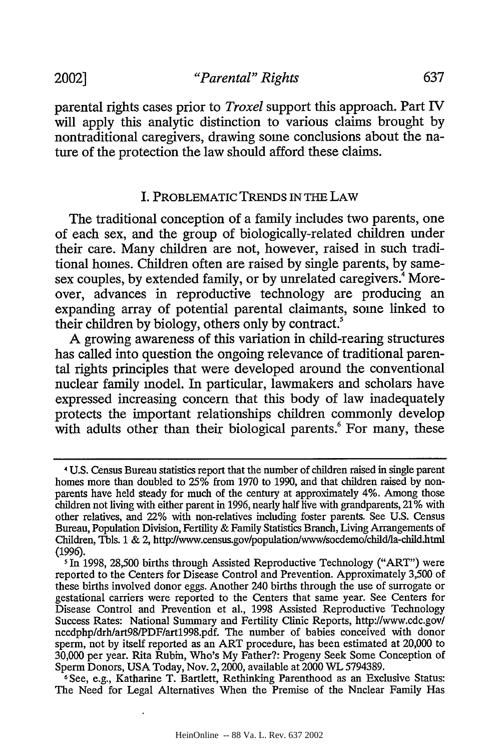parental rights cases prior to *Troxel* support this approach. Part IV will apply this analytic distinction to various claims brought by nontraditional caregivers, drawing some conclusions about the nature of the protection the law should afford these claims.

#### I. PROBLEMATIC TRENDS IN THE LAW

The traditional conception of a family includes two parents, one of each sex, and the group of biologically-related children under their care. Many children are not, however, raised in such traditional homes. Children often are raised by single parents, by samesex couples, by extended family, or by unrelated caregivers.<sup>4</sup> Moreover, advances in reproductive technology are producing an expanding array of potential parental claimants, some linked to their children by biology, others only by contract

A growing awareness of this variation in child-rearing structures has called into question the ongoing relevance of traditional parental rights principles that were developed around the conventional nuclear family model. In particular, lawmakers and scholars have expressed increasing concern that this body of law inadequately protects the important relationships children commonly develop with adults other than their biological parents.<sup>6</sup> For many, these

**<sup>4</sup>** U.S. Census Bureau statistics report that the number of children raised in single parent homes more than doubled to 25% from 1970 to 1990, and that children raised by nonparents have held steady for much of the century at approximately 4%. Among those children not living with either parent in 1996, nearly half live with grandparents, 21% with other relatives, and 22% with non-relatives including foster parents. See U.S. Census Bureau, Population Division, Fertility & Family Statistics Branch, Living Arrangements of Children, Tbls. 1 & 2, http'lwww.census.gov/populationwww/socdemo/childlla-child.html (1996).

**<sup>5</sup>** In 1998, 28,500 births through Assisted Reproductive Technology ("ART") were reported to the Centers for Disease Control and Prevention. Approximately 3,500 of these births involved donor eggs. Another 240 births through the use of surrogate or gestational carriers were reported to the Centers that same year. See Centers for Disease Control and Prevention et al., 1998 Assisted Reproductive Technology Success Rates: National Summary and Fertility Clinic Reports, http://www.cdc.govl nccdphp/drh/art98/PDF/art1998.pdf. The number of babies conceived with donor sperm, not by itself reported as an ART procedure, has been estimated at 20,000 to 30,000 per year. Rita Rubin, Who's My Father?: Progeny Seek Some Conception of Sperm Donors, USA Today, Nov. 2, 2000, available at 2000 WL 5794389.<br>
<sup>6</sup>See, e.g., Katharine T. Bartlett, Rethinking Parenthood as an Exclusive Status:

The Need for Legal Alternatives When the Premise of the Nuclear Family Has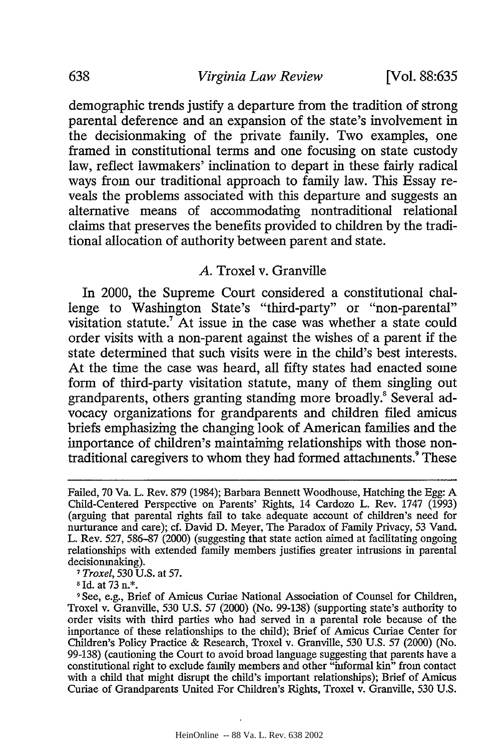demographic trends justify a departure from the tradition of strong parental deference and an expansion of the state's involvement in the decisionmaking of the private family. Two examples, one framed in constitutional terms and one focusing on state custody law, reflect lawmakers' inclination to depart in these fairly radical ways from our traditional approach to family law. This Essay reveals the problems associated with this departure and suggests an alternative means of accommodating nontraditional relational claims that preserves the benefits provided to children by the traditional allocation of authority between parent and state.

#### *A.* Troxel v. Granville

In 2000, the Supreme Court considered a constitutional challenge to Washington State's "third-party" or "non-parental" visitation statute.7 At issue in the case was whether a state could order visits with a non-parent against the wishes of a parent if the state determined that such visits were in the child's best interests. At the time the case was heard, all fifty states had enacted some form of third-party visitation statute, many of them singling out grandparents, others granting standing more broadly.<sup>8</sup> Several advocacy organizations for grandparents and children filed amicus briefs emphasizing the changing look of American families and the importance of children's maintaining relationships with those nontraditional caregivers to whom they had formed attachments.<sup>9</sup> These

*7 Troxel,* 530 U.S. at 57.

**8** Id. at 73 n.\*.

Failed, 70 Va. L. Rev. 879 (1984); Barbara Bennett Woodhouse, Hatching the Egg: A Child-Centered Perspective on Parents' Rights, 14 Cardozo L. Rev. 1747 (1993) (arguing that parental rights fail to take adequate account of children's need for nurturance and care); cf. David D. Meyer, The Paradox of Family Privacy, 53 Vand. L. Rev. 527, 586-87 (2000) (suggesting that state action aimed at facilitating ongoing relationships with extended family members justifies greater intrusions in parental decisionmaking).

**<sup>9</sup>** See, e.g., Brief of Amicus Curiae National Association of Counsel for Children, Troxel v. Granville, 530 U.S. 57 (2000) (No. 99-138) (supporting state's authority to order visits with third parties who had served in a parental role because of the importance of these relationships to the child); Brief of Amicus Curiae Center for Children's Policy Practice & Research, Troxel v. Granville, 530 U.S. 57 (2000) (No. 99-138) (cautioning the Court to avoid broad language suggesting that parents have a constitutional right to exclude family members and other "informal kin" from contact with a child that might disrupt the child's important relationships); Brief of Amicus Curiae of Grandparents United For Children's Rights, Troxel v. Granville, 530 U.S.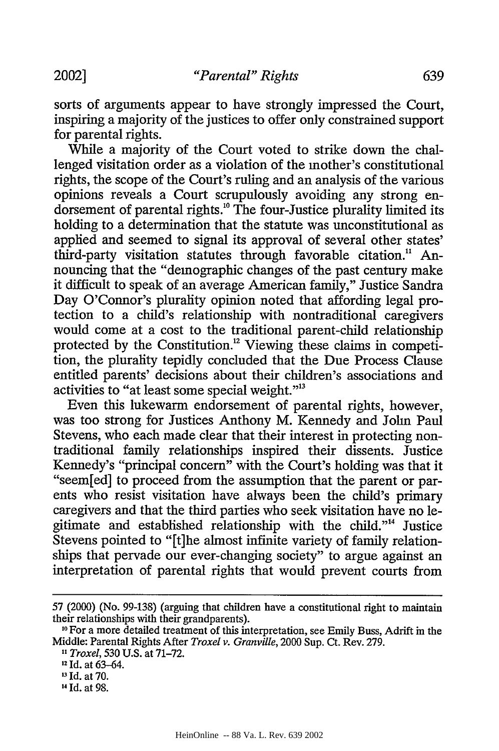sorts of arguments appear to have strongly impressed the Court, inspiring a majority of the justices to offer only constrained support for parental rights.

While a majority of the Court voted to strike down the challenged visitation order as a violation of the mother's constitutional rights, the scope of the Court's ruling and an analysis of the various opinions reveals a Court scrupulously avoiding any strong endorsement of parental rights." The four-Justice plurality limited its holding to a determination that the statute was unconstitutional as applied and seemed to signal its approval of several other states' third-party visitation statutes through favorable citation." Announcing that the "demographic changes of the past century make it difficult to speak of an average American family," Justice Sandra Day O'Connor's plurality opinion noted that affording legal protection to a child's relationship with nontraditional caregivers would come at a cost to the traditional parent-child relationship protected by the Constitution.<sup>12</sup> Viewing these claims in competition, the plurality tepidly concluded that the Due Process Clause entitled parents' decisions about their children's associations and activities to "at least some special weight."<sup>13</sup>

Even this lukewarm endorsement of parental rights, however, was too strong for Justices Anthony M. Kennedy and John Paul Stevens, who each made clear that their interest in protecting nontraditional family relationships inspired their dissents. Justice Kennedy's "principal concern" with the Court's holding was that it "seem[ed] to proceed from the assumption that the parent or parents who resist visitation have always been the child's primary caregivers and that the third parties who seek visitation have no legitimate and established relationship with the child."'4 Justice Stevens pointed to "[t]he almost infinite variety of family relationships that pervade our ever-changing society" to argue against an interpretation of parental rights that would prevent courts from

<sup>57 (2000) (</sup>No. 99-138) (arguing that children have a constitutional right to maintain their relationships with their grandparents). **<sup>10</sup>**For a more detailed treatment of this interpretation, see Emily Buss, Adrift in the

Middle: Parental Rights After *Troxel v. Granville,* 2000 Sup. Ct. Rev. 279.

*<sup>1,</sup> Troxel,* 530 U.S. at 71-72.

**<sup>12</sup>**Id. at 63-64.

*<sup>&#</sup>x27;3* Id. at 70.

<sup>14</sup> **Id.** at 98.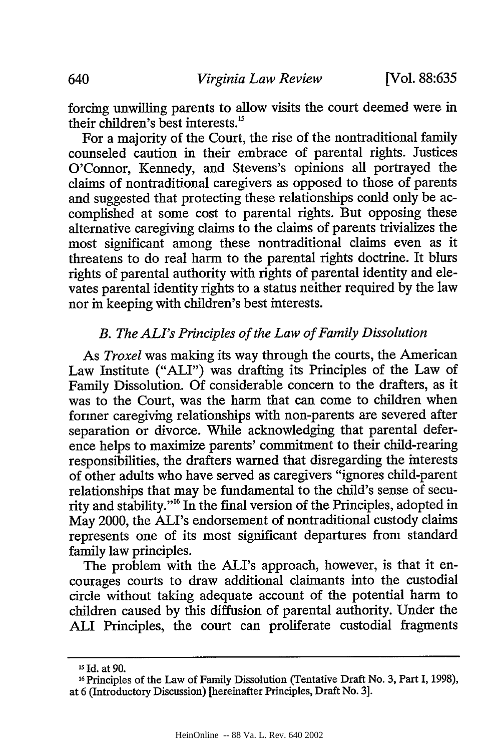forcing unwilling parents to allow visits the court deemed were in their children's best interests.<sup>15</sup>

For a majority of the Court, the rise of the nontraditional family counseled caution in their embrace of parental rights. Justices O'Connor, Kennedy, and Stevens's opinions all portrayed the claims of nontraditional caregivers as opposed to those of parents and suggested that protecting these relationships conld only be accomplished at some cost to parental rights. But opposing these alternative caregiving claims to the claims of parents trivializes the most significant among these nontraditional claims even as it threatens to do real harm to the parental rights doctrine. It blurs rights of parental authority with rights of parental identity and elevates parental identity rights to a status neither required by the law nor in keeping with children's best interests.

# *B. The ALI's Principles of the Law of Family Dissolution*

*As Troxel* was making its way through the courts, the American Law Institute ("ALI") was drafting its Principles of the Law of Family Dissolution. Of considerable concern to the drafters, as it was to the Court, was the harm that can come to children when former caregiving relationships with non-parents are severed after separation or divorce. While acknowledging that parental deference helps to maximize parents' commitment to their child-rearing responsibilities, the drafters warned that disregarding the interests of other adults who have served as caregivers "ignores child-parent relationships that may be fundamental to the child's sense of security and stability."'6 In the final version of the Principles, adopted in May 2000, the ALI's endorsement of nontraditional custody claims represents one of its most significant departures from standard family law principles.

The problem with the ALI's approach, however, is that it encourages courts to draw additional claimants into the custodial circle without taking adequate account of the potential harm to children caused by this diffusion of parental authority. Under the **ALI** Principles, the court can proliferate custodial fragments

**<sup>15</sup>Id.** at 90.

l 6Principles of the Law of Family Dissolution (Tentative Draft No. 3, Part I, 1998), at 6 (Introductory Discussion) [hereinafter Principles, Draft No. 3].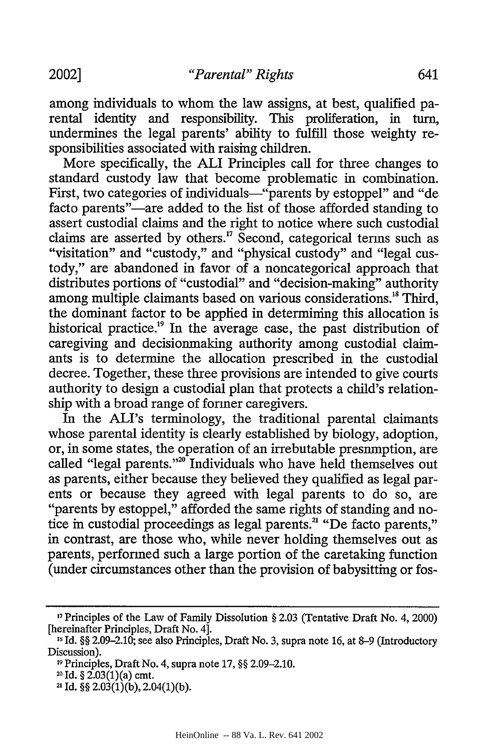among individuals to whom the law assigns, at best, qualified parental identity and responsibility. This proliferation, in turn, undermines the legal parents' ability to fulfill those weighty responsibilities associated with raising children.

More specifically, the ALI Principles call for three changes to standard custody law that become problematic in combination. First, two categories of individuals-"parents by estoppel" and "de facto parents"—are added to the list of those afforded standing to assert custodial claims and the right to notice where such custodial claims are asserted by others.<sup>17</sup> Second, categorical terms such as "visitation" and "custody," and "physical custody" and "legal custody," are abandoned in favor of a noncategorical approach that distributes portions of "custodial" and "decision-making" authority among multiple claimants based on various considerations.<sup>18</sup> Third, the dominant factor to be applied in determining this allocation is historical practice.<sup>19</sup> In the average case, the past distribution of caregiving and decisionmaking authority among custodial claimants is to determine the allocation prescribed in the custodial decree. Together, these three provisions are intended to give courts authority to design a custodial plan that protects a child's relationship with a broad range of former caregivers.

In the ALI's terminology, the traditional parental claimants whose parental identity is clearly established by biology, adoption, or, in some states, the operation of an irrebutable presumption, are called "legal parents."<sup>20</sup> Individuals who have held themselves out as parents, either because they believed they qualified as legal parents or because they agreed with legal parents to do so, are "parents by estoppel," afforded the same rights of standing and notice in custodial proceedings as legal parents.<sup>21</sup> "De facto parents," in contrast, are those who, while never holding themselves out as parents, performed such a large portion of the caretaking function (under circumstances other than the provision of babysitting or fos-

**<sup>&</sup>quot;1** Principles of the Law of Family Dissolution **§** 2.03 (Tentative Draft No. 4, 2000) [hereinafter Principles, Draft No. 4].

<sup>&</sup>lt;sup>18</sup> Id. §§ 2.09–2.10; see also Principles, Draft No. 3, supra note 16, at 8–9 (Introductory Discussion).

**<sup>19</sup>** Principles, Draft No. 4, supra note 17, **§§** 2.09-2.10.

**<sup>20</sup>**Id. **§** 2.03(1)(a) cmt.

**<sup>2</sup>** Id. **§§** 2.03(1)(b), 2.04(1)(b).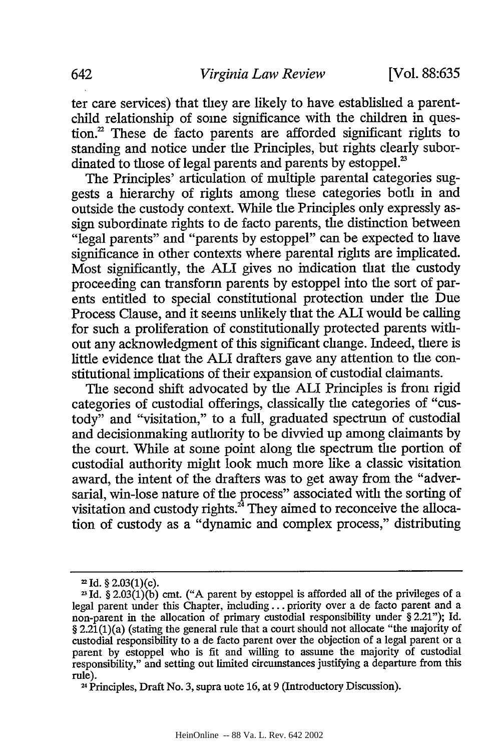ter care services) that they are likely to have established a parentchild relationship of some significance with the children in question.<sup>2</sup> These de facto parents are afforded significant rights to standing and notice under the Principles, but rights clearly subordinated to those of legal parents and parents by estoppel.<sup>23</sup>

The Principles' articulation of multiple parental categories suggests a hierarchy of rights among these categories both in and outside the custody context. While the Principles only expressly assign subordinate rights to de facto parents, the distinction between "legal parents" and "parents by estoppel" can be expected to have significance in other contexts where parental rights are implicated. Most significantly, the **ALI** gives no indication that the custody proceeding can transform parents by estoppel into the sort of parents entitled to special constitutional protection under the Due Process Clause, and it seems unlikely that the ALI would be calling for such a proliferation of constitutionally protected parents without any acknowledgment of this significant change. Indeed, there is little evidence that the **ALI** drafters gave any attention to the constitutional implications of their expansion of custodial claimants.

The second shift advocated by the ALI Principles is from rigid categories of custodial offerings, classically the categories of "custody" and "visitation," to a full, graduated spectrum of custodial and decisionmaking authority to be divvied up among claimants by the court. While at some point along the spectrum the portion of custodial authority might look much more like a classic visitation award, the intent of the drafters was to get away from the "adversarial, win-lose nature of the process" associated with the sorting of visitation and custody rights.<sup>24</sup> They aimed to reconceive the allocation of custody as a "dynamic and complex process," distributing

Id. **§** 2.03(1)(c).

Id.  $\S 2.03(1)(6)$  cmt. ("A parent by estoppel is afforded all of the privileges of a legal parent under this Chapter, including **...** priority over a de facto parent and a non-parent in the allocation of primary custodial responsibility under § 2.21"); Id. § 2.21(1)(a) (stating the general rule that a court should not allocate "the majority of custodial responsibility to a de facto parent over the objection of a legal parent or a parent by estoppel who is fit and willing to assume the majority of custodial responsibility," and setting out limited circumstances justifying a departure from this rule).

<sup>&</sup>lt;sup>24</sup> Principles, Draft No. 3, supra uote 16, at 9 (Introductory Discussion).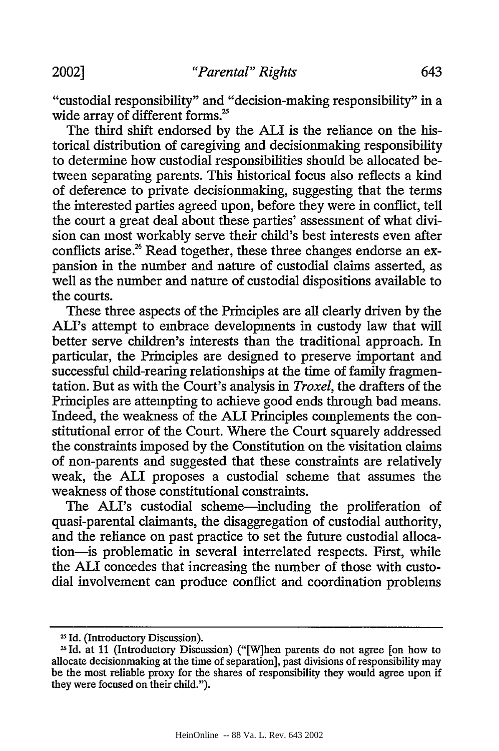"custodial responsibility" and "decision-making responsibility" in a wide array of different forms.<sup>25</sup>

The third shift endorsed by the ALI is the reliance on the historical distribution of caregiving and decisionmaking responsibility to determine how custodial responsibilities should be allocated between separating parents. This historical focus also reflects a kind of deference to private decisionmaking, suggesting that the terms the interested parties agreed upon, before they were in conflict, tell the court a great deal about these parties' assessment of what division can most workably serve their child's best interests even after conflicts arise.<sup>26</sup> Read together, these three changes endorse an expansion in the number and nature of custodial claims asserted, as well as the number and nature of custodial dispositions available to the courts.

These three aspects of the Principles are all clearly driven by the ALI's attempt to embrace developments in custody law that will better serve children's interests than the traditional approach. In particular, the Principles are designed to preserve important and successful child-rearing relationships at the time of family fragmentation. But as with the Court's analysis in *Troxel,* the drafters of the Principles are attempting to achieve good ends through bad means. Indeed, the weakness of the ALI Principles complements the constitutional error of the Court. Where the Court squarely addressed the constraints imposed by the Constitution on the visitation claims of non-parents and suggested that these constraints are relatively weak, the ALI proposes a custodial scheme that assumes the weakness of those constitutional constraints.

The ALI's custodial scheme-including the proliferation of quasi-parental claimants, the disaggregation of custodial authority, and the reliance on past practice to set the future custodial allocation-is problematic in several interrelated respects. First, while the ALI concedes that increasing the number of those with custodial involvement can produce conflict and coordination problems

<sup>&</sup>lt;sup>25</sup> Id. (Introductory Discussion).

<sup>&</sup>lt;sup>26</sup> Id. at 11 (Introductory Discussion) ("[W]hen parents do not agree [on how to allocate decisionmaking at the time of separation], past divisions of responsibility may be the most reliable proxy for the shares of responsibility they would agree upon if they were focused on their child.").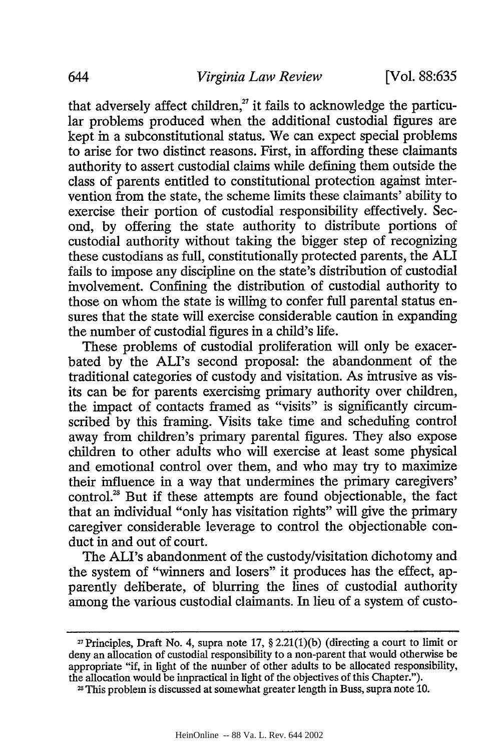that adversely affect children, $^{27}$  it fails to acknowledge the particular problems produced when the additional custodial figures are kept in a subconstitutional status. We can expect special problems to arise for two distinct reasons. First, in affording these claimants authority to assert custodial claims while defining them outside the class of parents entitled to constitutional protection against intervention from the state, the scheme limits these claimants' ability to exercise their portion of custodial responsibility effectively. Second, by offering the state authority to distribute portions of custodial authority without taking the bigger step of recognizing these custodians as full, constitutionally protected parents, the **ALI** fails to impose any discipline on the state's distribution of custodial involvement. Confining the distribution of custodial authority to those on whom the state is willing to confer full parental status ensures that the state will exercise considerable caution in expanding the number of custodial figures in a child's life.

These problems of custodial proliferation will only be exacerbated by the ALI's second proposal: the abandonment of the traditional categories of custody and visitation. As intrusive as visits can be for parents exercising primary authority over children, the impact of contacts framed as "visits" is significantly circumscribed by this framing. Visits take time and scheduling control away from children's primary parental figures. They also expose children to other adults who will exercise at least some physical and emotional control over them, and who may try to maximize their influence in a way that undermines the primary caregivers' control.<sup>28</sup> But if these attempts are found objectionable, the fact that an individual "only has visitation rights" will give the primary caregiver considerable leverage to control the objectionable conduct in and out of court.

The ALI's abandonment of the custody/visitation dichotomy and the system of "winners and losers" it produces has the effect, apparently deliberate, of blurring the lines of custodial authority among the various custodial claimants. In lieu of a system of custo-

**<sup>27</sup>**Principles, Draft No. 4, supra note **17,** § 2.21(1)(b) (directing a court to limit or deny an allocation of custodial responsibility to a non-parent that would otherwise be appropriate "if, in light of the number of other adults to be allocated responsibility, the allocation would be impractical in light of the objectives of this Chapter.").

**<sup>13</sup>** This problem is discussed at somewhat greater length in Buss, supra note 10.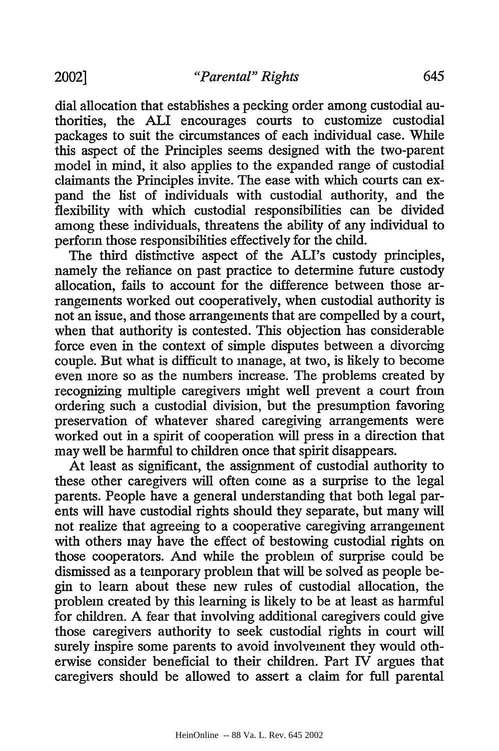dial allocation that establishes a pecking order among custodial authorities, the ALI encourages courts to customize custodial packages to suit the circumstances of each individual case. While this aspect of the Principles seems designed with the two-parent model in mind, it also applies to the expanded range of custodial claimants the Principles invite. The ease with which courts can expand the list of individuals with custodial authority, and the flexibility with which custodial responsibilities can be divided among these individuals, threatens the ability of any individual to perform those responsibilities effectively for the child.

The third distinctive aspect of the ALI's custody principles, namely the reliance on past practice to determine future custody allocation, fails to account for the difference between those arrangements worked out cooperatively, when custodial authority is not an issue, and those arrangements that are compelled by a court, when that authority is contested. This objection has considerable force even in the context of simple disputes between a divorcing couple. But what is difficult to manage, at two, is likely to become even more so as the numbers increase. The problems created by recognizing multiple caregivers might well prevent a court from ordering such a custodial division, but the presumption favoring preservation of whatever shared caregiving arrangements were worked out in a spirit of cooperation will press in a direction that may well be harmful to children once that spirit disappears.

At least as significant, the assignment of custodial authority to these other caregivers will often come as a surprise to the legal parents. People have a general understanding that both legal parents will have custodial rights should they separate, but many will not realize that agreeing to a cooperative caregiving arrangement with others may have the effect of bestowing custodial rights on those cooperators. And while the problem of surprise could be dismissed as a temporary problem that will be solved as people begin to learn about these new rules of custodial allocation, the problem created by this learning is likely to be at least as harmful for children. A fear that involving additional caregivers could give those caregivers authority to seek custodial rights in court will surely inspire some parents to avoid involvement they would otherwise consider beneficial to their children. Part IV argues that caregivers should be allowed to assert a claim for full parental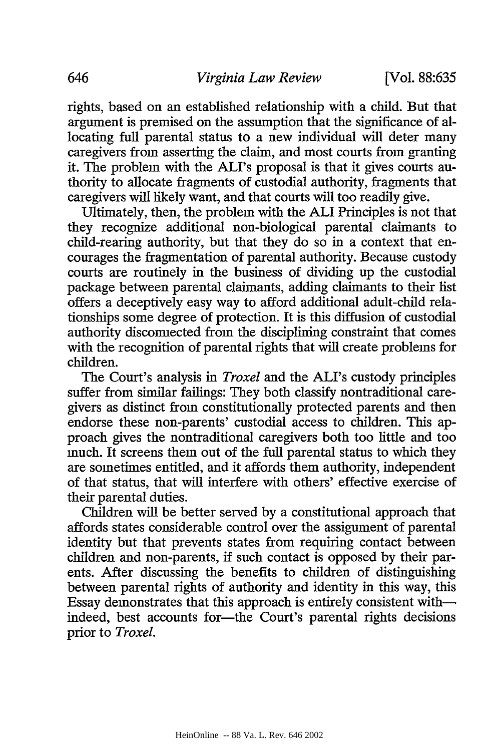rights, based on an established relationship with a child. But that argument is premised on the assumption that the significance of allocating full parental status to a new individual will deter many caregivers from asserting the claim, and most courts from granting it. The problem with the ALI's proposal is that it gives courts authority to allocate fragments of custodial authority, fragments that caregivers will likely want, and that courts will too readily give.

Ultimately, then, the problem with the ALI Principles is not that they recognize additional non-biological parental claimants to child-rearing authority, but that they do so in a context that encourages the fragmentation of parental authority. Because custody courts are routinely in the business of dividing up the custodial package between parental claimants, adding claimants to their list offers a deceptively easy way to afford additional adult-child relationships some degree of protection. It is this diffusion of custodial authority disconnected from the disciplining constraint that comes with the recognition of parental rights that will create problems for children.

The Court's analysis in *Troxel* and the ALI's custody principles suffer from similar failings: They both classify nontraditional caregivers as distinct from constitutionally protected parents and then endorse these non-parents' custodial access to children. This approach gives the nontraditional caregivers both too little and too much. It screens them out of the full parental status to which they are sometimes entitled, and it affords them authority, independent of that status, that will interfere with others' effective exercise of their parental duties.

Children will be better served by a constitutional approach that affords states considerable control over the assignment of parental identity but that prevents states from requiring contact between children and non-parents, if such contact is opposed by their parents. After discussing the benefits to children of distinguishing between parental rights of authority and identity in this way, this Essay demonstrates that this approach is entirely consistent withindeed, best accounts for-the Court's parental rights decisions prior to *Troxel.*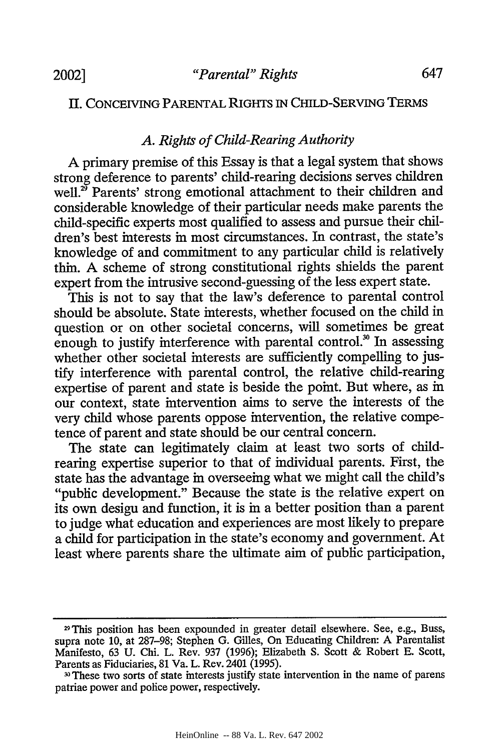## II. CONCEIVING PARENTAL RIGHTS IN CHILD-SERVING TERMS

# *A. Rights of Child-Rearing Authority*

A primary premise of this Essay is that a legal system that shows strong deference to parents' child-rearing decisions serves children well.<sup>25</sup> Parents' strong emotional attachment to their children and considerable knowledge of their particular needs make parents the child-specific experts most qualified to assess and pursue their children's best interests in most circumstances. In contrast, the state's knowledge of and commitment to any particular child is relatively thin. A scheme of strong constitutional rights shields the parent expert from the intrusive second-guessing of the less expert state.

This is not to say that the law's deference to parental control should be absolute. State interests, whether focused on the child in question or on other societal concerns, will sometimes be great enough to justify interference with parental control.<sup>30</sup> In assessing whether other societal interests are sufficiently compelling to justify interference with parental control, the relative child-rearing expertise of parent and state is beside the point. But where, as in our context, state intervention aims to serve the interests of the very child whose parents oppose intervention, the relative competence of parent and state should be our central concern.

The state can legitimately claim at least two sorts of childrearing expertise superior to that of individual parents. First, the state has the advantage in overseeing what we might call the child's "public development." Because the state is the relative expert on its own desigu and function, it is in a better position than a parent to judge what education and experiences are most likely to prepare a child for participation in the state's economy and government. At least where parents share the ultimate aim of public participation,

<sup>29</sup>This position has been expounded in greater detail elsewhere. See, e.g., Buss, supra note **10,** at 287-98; Stephen **G.** Gilles, On Educating Children: A Parentalist Manifesto, 63 U. Chi. L. Rev. 937 (1996); Elizabeth S. Scott & Robert E. Scott, Parents as Fiduciaries, 81 Va. L. Rev. 2401 (1995).

These two sorts of state interests justify state intervention in the name of parens patriae power and police power, respectively.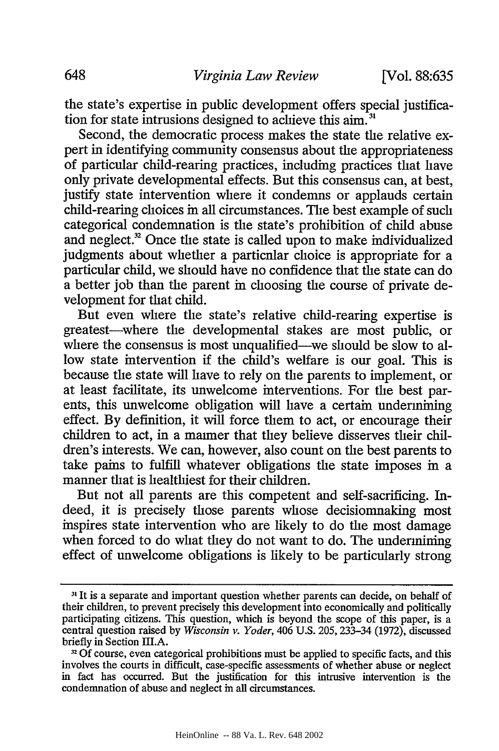the state's expertise in public development offers special justification for state intrusions designed to achieve this  $\text{aim}^3$ 

Second, the democratic process makes the state the relative expert in identifying community consensus about the appropriateness of particular child-rearing practices, including practices that have only private developmental effects. But this consensus can, at best, justify state intervention where it condemns or applauds certain child-rearing choices in all circumstances. The best example of such categorical condemnation is the state's prohibition of child abuse and neglect. $2^{\circ}$  Once the state is called upon to make individualized judgments about whether a particular choice is appropriate for a particular child, we should have no confidence that the state can do a better job than the parent in choosing the course of private development for that child.

But even where the state's relative child-rearing expertise is greatest-where the developmental stakes are most public, or where the consensus is most unqualified—we should be slow to allow state intervention if the child's welfare is our goal. This is because the state will have to rely on the parents to implement, or at least facilitate, its unwelcome interventions. For the best parents, this unwelcome obligation will have a certain undermining effect. By definition, it will force them to act, or encourage their children to act, in a manner that they believe disserves their children's interests. We can, however, also count on the best parents to take pains to fulfill whatever obligations the state imposes in a manner that is healthiest for their children.

But not all parents are this competent and self-sacrificing. Indeed, it is precisely those parents whose decisionmaking most inspires state intervention who are likely to do the most damage when forced to do what they do not want to do. The undermining effect of unwelcome obligations is likely to be particularly strong

**<sup>31</sup>**It is a separate and important question whether parents can decide, on behalf of their children, to prevent precisely this development into economically and politically participating citizens. This question, which is beyond the scope of this paper, is a central question raised by *Wisconsin v. Yoder,* 406 U.S. 205, 233-34 (1972), discussed briefly in Section III.A.

**<sup>3</sup>**Of course, even categorical prohibitions must be applied to specific facts, and this involves the courts in difficult, case-specific assessments of whether abuse or neglect in fact has occurred. But the justification for this intrusive intervention is the condemnation of abuse and neglect in all circumstances.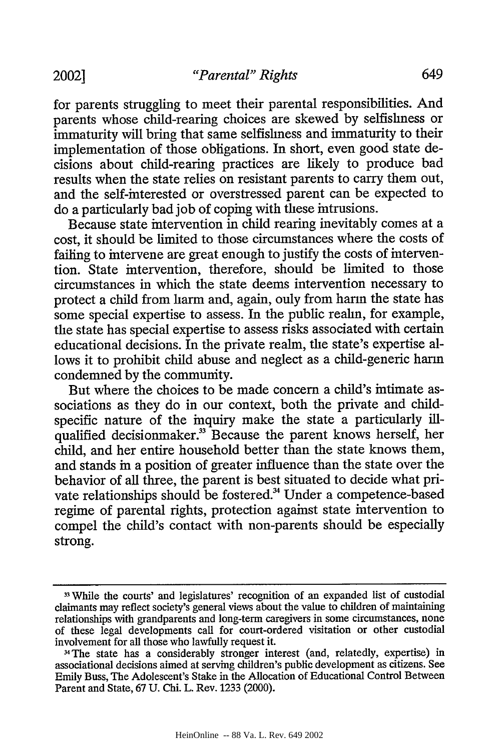for parents struggling to meet their parental responsibilities. And parents whose child-rearing choices are skewed by selfishness or immaturity will bring that same selfishness and immaturity to their implementation of those obligations. In short, even good state decisions about child-rearing practices are likely to produce bad results when the state relies on resistant parents to carry them out, and the self-interested or overstressed parent can be expected to do a particularly bad job of coping with these intrusions.

Because state intervention in child rearing inevitably comes at a cost, it should be limited to those circumstances where the costs of failing to intervene are great enough to justify the costs of intervention. State intervention, therefore, should be limited to those circumstances in which the state deems intervention necessary to protect a child from harm and, again, only from harm the state has some special expertise to assess. In the public realm, for example, the state has special expertise to assess risks associated with certain educational decisions. In the private realm, the state's expertise allows it to prohibit child abuse and neglect as a child-generic harm condemned by the community.

But where the choices to be made concern a child's intimate associations as they do in our context, both the private and childspecific nature of the inquiry make the state a particularly illqualified decisionmaker.<sup>33</sup> Because the parent knows herself, her child, and her entire household better than the state knows them, and stands in a position of greater influence than the state over the behavior of all three, the parent is best situated to decide what private relationships should be fostered.<sup>34</sup> Under a competence-based regime of parental rights, protection against state intervention to compel the child's contact with non-parents should be especially strong.

**<sup>3</sup>**While the courts' and legislatures' recognition of an expanded list of custodial claimants may reflect society's general views about the value to children of maintaining relationships with grandparents and long-term caregivers in some circumstances, none of these legal developments call for court-ordered visitation or other custodial involvement for all those who lawfully request it.

<sup>3</sup> The state has a considerably stronger interest (and, relatedly, expertise) in associational decisions aimed at serving children's public development as citizens. See Emily Buss, The Adolescent's Stake in the Allocation of Educational Control Between Parent and State, 67 U. Chi. L. Rev. 1233 (2000).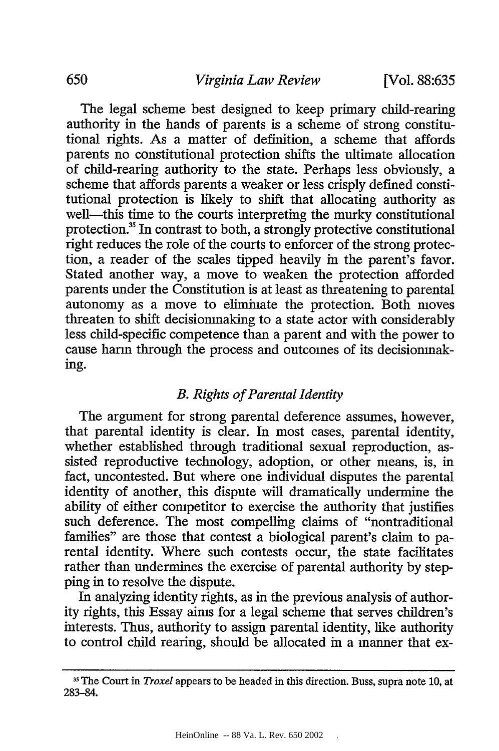The legal scheme best designed to keep primary child-rearing authority in the hands of parents is a scheme of strong constitutional rights. As a matter of definition, a scheme that affords parents no constitutional protection shifts the ultimate allocation of child-rearing authority to the state. Perhaps less obviously, a scheme that affords parents a weaker or less crisply defined constitutional protection is likely to shift that allocating authority as well-this time to the courts interpreting the murky constitutional protection.<sup>35</sup> In contrast to both, a strongly protective constitutional right reduces the role of the courts to enforcer of the strong protection, a reader of the scales tipped heavily in the parent's favor. Stated another way, a move to weaken the protection afforded parents under the Constitution is at least as threatening to parental autonomy as a move to eliminate the protection. Both moves threaten to shift decisionmaking to a state actor with considerably less child-specific competence than a parent and with the power to cause harm through the process and outcomes of its decisionmaking.

## *B. Rights of Parental Identity*

The argument for strong parental deference assumes, however, that parental identity is clear. In most cases, parental identity, whether established through traditional sexual reproduction, assisted reproductive technology, adoption, or other means, is, in fact, uncontested. But where one individual disputes the parental identity of another, this dispute will dramatically undermine the ability of either competitor to exercise the authority that justifies such deference. The most compelling claims of "nontraditional families" are those that contest a biological parent's claim to parental identity. Where such contests occur, the state facilitates rather than undermines the exercise of parental authority by stepping in to resolve the dispute.

In analyzing identity rights, as in the previous analysis of authority rights, this Essay aims for a legal scheme that serves children's interests. Thus, authority to assign parental identity, like authority to control child rearing, should be allocated in a manner that ex-

**<sup>35</sup>**The Court in *Troxel* appears to be headed in this direction. Buss, supra note 10, at 283-84.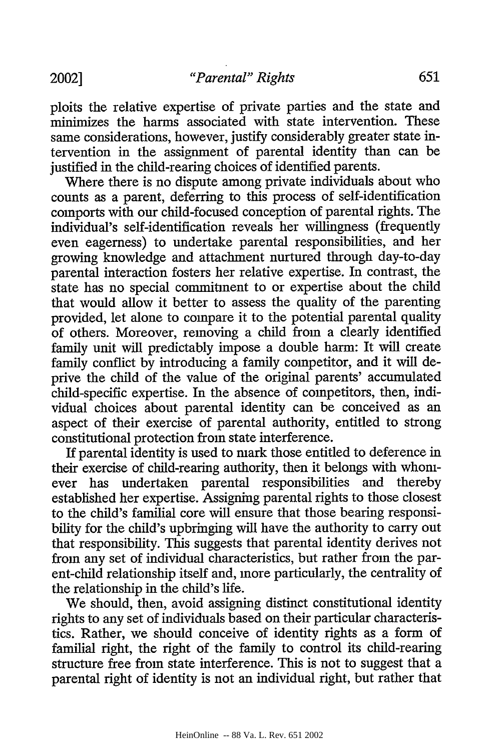ploits the relative expertise of private parties and the state and minimizes the harms associated with state intervention. These same considerations, however, justify considerably greater state intervention in the assignment of parental identity than can be justified in the child-rearing choices of identified parents.

Where there is no dispute among private individuals about who counts as a parent, deferring to this process of self-identification comports with our child-focused conception of parental rights. The individual's self-identification reveals her willingness (frequently even eagerness) to undertake parental responsibilities, and her growing knowledge and attachment nurtured through day-to-day parental interaction fosters her relative expertise. In contrast, the state has no special commitment to or expertise about the child that would allow it better to assess the quality of the parenting provided, let alone to compare it to the potential parental quality of others. Moreover, removing a child from a clearly identified family unit will predictably impose a double harm: It will create family conflict by introducing a family competitor, and it will deprive the child of the value of the original parents' accumulated child-specific expertise. In the absence of competitors, then, individual choices about parental identity can be conceived as an aspect of their exercise of parental authority, entitled to strong constitutional protection from state interference.

If parental identity is used to mark those entitled to deference in their exercise of child-rearing authority, then it belongs with whomever has undertaken parental responsibilities and thereby established her expertise. Assigning parental rights to those closest to the child's familial core will ensure that those bearing responsibility for the child's upbringing will have the authority to carry out that responsibility. This suggests that parental identity derives not from any set of individual characteristics, but rather from the parent-child relationship itself and, more particularly, the centrality of the relationship in the child's life.

We should, then, avoid assigning distinct constitutional identity rights to any set of individuals based on their particular characteristics. Rather, we should conceive of identity rights as a form of familial right, the right of the family to control its child-rearing structure free from state interference. This is not to suggest that a parental right of identity is not an individual right, but rather that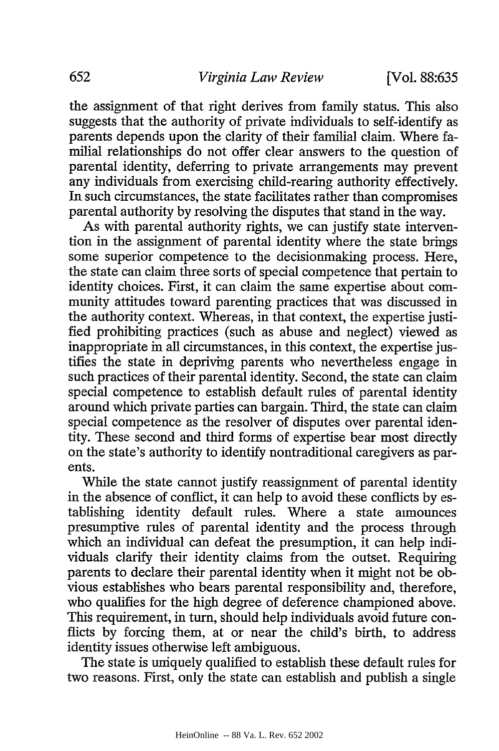the assignment of that right derives from family status. This also suggests that the authority of private individuals to self-identify as parents depends upon the clarity of their familial claim. Where familial relationships do not offer clear answers to the question of parental identity, deferring to private arrangements may prevent any individuals from exercising child-rearing authority effectively. In such circumstances, the state facilitates rather than compromises parental authority by resolving the disputes that stand in the way.

As with parental authority rights, we can justify state intervention in the assignment of parental identity where the state brings some superior competence to the decisionmaking process. Here, the state can claim three sorts of special competence that pertain to identity choices. First, it can claim the same expertise about community attitudes toward parenting practices that was discussed in the authority context. Whereas, in that context, the expertise justified prohibiting practices (such as abuse and neglect) viewed as inappropriate in all circumstances, in this context, the expertise justifies the state in depriving parents who nevertheless engage in such practices of their parental identity. Second, the state can claim special competence to establish default rules of parental identity around which private parties can bargain. Third, the state can claim special competence as the resolver of disputes over parental identity. These second and third forms of expertise bear most directly on the state's authority to identify nontraditional caregivers as parents.

While the state cannot justify reassignment of parental identity in the absence of conflict, it can help to avoid these conflicts by establishing identity default rules. Where a state announces presumptive rules of parental identity and the process through which an individual can defeat the presumption, it can help individuals clarify their identity claims from the outset. Requiring parents to declare their parental identity when it might not be obvious establishes who bears parental responsibility and, therefore, who qualifies for the high degree of deference championed above. This requirement, in turn, should help individuals avoid future conflicts by forcing them, at or near the child's birth, to address identity issues otherwise left ambiguous.

The state is uniquely qualified to establish these default rules for two reasons. First, only the state can establish and publish a single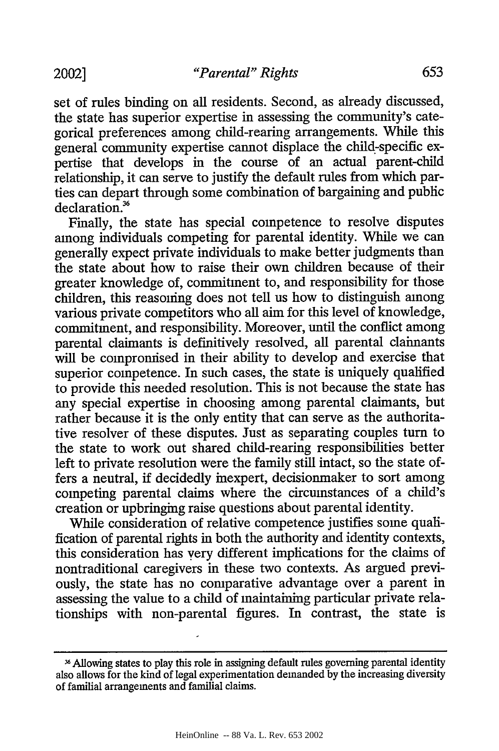set of rules binding on all residents. Second, as already discussed, the state has superior expertise in assessing the community's categorical preferences among child-rearing arrangements. While this general community expertise cannot displace the child-specific expertise that develops in the course of an actual parent-child relationship, it can serve to justify the default rules from which parties can depart through some combination of bargaining and public declaration.'

Finally, the state has special competence to resolve disputes among individuals competing for parental identity. While we can generally expect private individuals to make better judgments than the state about how to raise their own children because of their greater knowledge of, commitment to, and responsibility for those children, this reasoning does not tell us how to distinguish among various private competitors who all aim for this level of knowledge, commitment, and responsibility. Moreover, until the conflict among parental claimants is definitively resolved, all parental claimants will be compromised in their ability to develop and exercise that superior competence. In such cases, the state is uniquely qualified to provide this needed resolution. This is not because the state has any special expertise in choosing among parental claimants, but rather because it is the only entity that can serve as the authoritative resolver of these disputes. Just as separating couples turn to the state to work out shared child-rearing responsibilities better left to private resolution were the family still intact, so the state offers a neutral, if decidedly inexpert, decisionmaker to sort among competing parental claims where the circumstances of a child's creation or upbringing raise questions about parental identity.

While consideration of relative competence justifies some qualification of parental rights in both the authority and identity contexts, this consideration has very different implications for the claims of nontraditional caregivers in these two contexts. As argued previously, the state has no comparative advantage over a parent in assessing the value to a child of maintaining particular private relationships with non-parental figures. In contrast, the state is

Allowing states to play this role in assigning default rules governing parental identity also allows for the kind of legal experimentation demanded by the increasing diversity of familial arrangements and familial claims.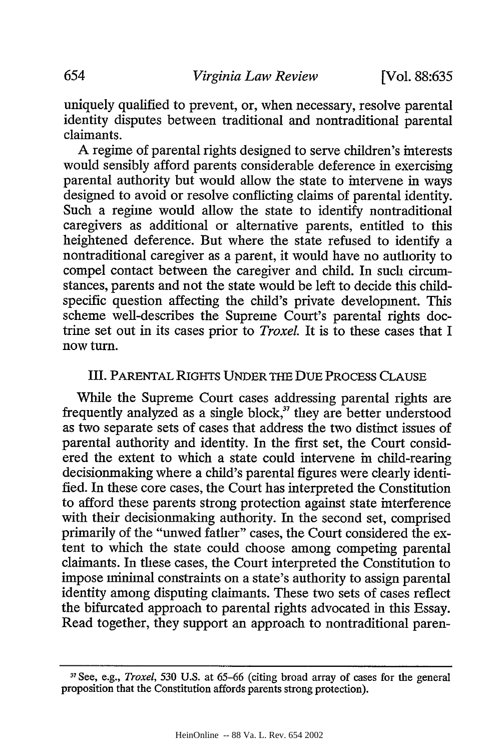uniquely qualified to prevent, or, when necessary, resolve parental identity disputes between traditional and nontraditional parental claimants.

A regime of parental rights designed to serve children's interests would sensibly afford parents considerable deference in exercising parental authority but would allow the state to intervene in ways designed to avoid or resolve conflicting claims of parental identity. Such a regime would allow the state to identify nontraditional caregivers as additional or alternative parents, entitled to this heightened deference. But where the state refused to identify a nontraditional caregiver as a parent, it would have no authority to compel contact between the caregiver and child. In such circumstances, parents and not the state would be left to decide this childspecific question affecting the child's private development. This scheme well-describes the Supreme Court's parental rights doctrine set out in its cases prior to *TroxeL* It is to these cases that I now turn.

## III. PARENTAL RIGHTS UNDER THE DUE PROCESS CLAUSE

While the Supreme Court cases addressing parental rights are frequently analyzed as a single block,<sup>37</sup> they are better understood as two separate sets of cases that address the two distinct issues of parental authority and identity. In the first set, the Court considered the extent to which a state could intervene in child-rearing decisionmaking where a child's parental figures were clearly identified. In these core cases, the Court has interpreted the Constitution to afford these parents strong protection against state interference with their decisionmaking authority. In the second set, comprised primarily of the "unwed father" cases, the Court considered the extent to which the state could choose among competing parental claimants. In these cases, the Court interpreted the Constitution to impose minimal constraints on a state's authority to assign parental identity among disputing claimants. These two sets of cases reflect the bifurcated approach to parental rights advocated in this Essay. Read together, they support an approach to nontraditional paren-

**<sup>3</sup> 1** See, e.g., *Troxel, 530* U.S. at 65-66 (citing broad array of cases for the general proposition that the Constitution affords parents strong protection).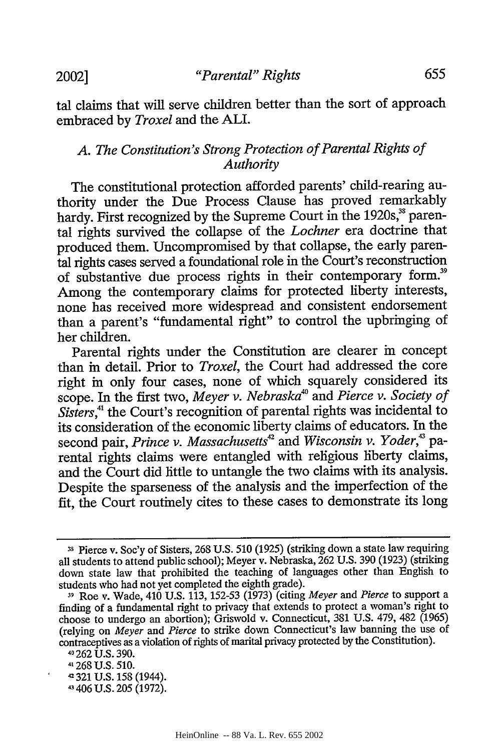tal claims that will serve children better than the sort of approach embraced by *Troxel* and the ALL.

# *A. The Constitution's Strong Protection of Parental Rights of Authority*

The constitutional protection afforded parents' child-rearing authority under the Due Process Clause has proved remarkably hardy. First recognized by the Supreme Court in the 1920s,<sup>38</sup> parental rights survived the collapse of the *Lochner* era doctrine that produced them. Uncompromised by that collapse, the early parental rights cases served a foundational role in the Court's reconstruction of substantive due process rights in their contemporary form.<sup>39</sup> Among the contemporary claims for protected liberty interests, none has received more widespread and consistent endorsement than a parent's "fundamental right" to control the upbringing of her children.

Parental rights under the Constitution are clearer in concept than in detail. Prior to *Troxel,* the Court had addressed the core right in only four cases, none of which squarely considered its scope. In the first two, Meyer v. Nebraska<sup>40</sup> and Pierce v. Society of *Sisters,"* the Court's recognition of parental rights was incidental to its consideration of the economic liberty claims of educators. In the second pair, Prince v. Massachusetts<sup>42</sup> and Wisconsin v. Yoder,<sup>43</sup> parental rights claims were entangled with religious liberty claims, and the Court did little to untangle the two claims with its analysis. Despite the sparseness of the analysis and the imperfection of the fit, the Court routinely cites to these cases to demonstrate its long

41406 U.S. 205 (1972).

**<sup>-1</sup>** Pierce v. Soe'y of Sisters, 268 U.S. 510 (1925) (striking down a state law requiring all students to attend public school); Meyer v. Nebraska, 262 U.S. 390 (1923) (striking down state law that prohibited the teaching of languages other than English to students who had not yet completed the eighth grade).

**<sup>39</sup>**Roe v. Wade, 410 U.S. 113, 152-53 (1973) (citing *Meyer* and *Pierce* to support a finding of a fundamental right to privacy that extends to protect a woman's right to choose to undergo an abortion); Griswold v. Connecticut, 381 U.S. 479, 482 (1965) (relying on *Meyer and Pierce* to strike down Connecticut's law banning the use of contraceptives as a violation of rights of marital privacy protected by the Constitution).

<sup>41262</sup> U.S. 390.

**<sup>41268</sup>** U.S. 510.

**<sup>-</sup>** 321 U.S. 158 (1944).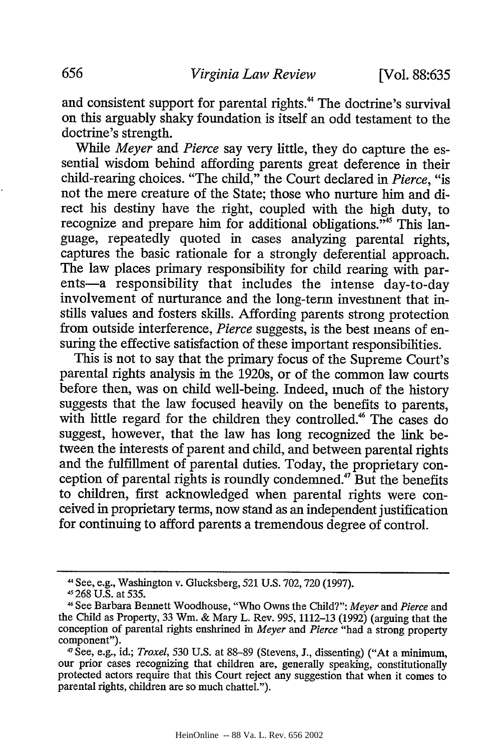and consistent support for parental rights.<sup>44</sup> The doctrine's survival on this arguably shaky foundation is itself an odd testament to the doctrine's strength.

While *Meyer and Pierce* say very little, they do capture the essential wisdom behind affording parents great deference in their child-rearing choices. "The child," the Court declared in *Pierce,* "is not the mere creature of the State; those who nurture him and direct his destiny have the right, coupled with the high duty, to recognize and prepare him for additional obligations.<sup> $m<sub>45</sub>$ </sup> This language, repeatedly quoted in cases analyzing parental rights, captures the basic rationale for a strongly deferential approach. The law places primary responsibility for child rearing with parents-a responsibility that includes the intense day-to-day involvement of nurturance and the long-term investment that instills values and fosters skills. Affording parents strong protection from outside interference, *Pierce* suggests, is the best means of ensuring the effective satisfaction of these important responsibilities.

This is not to say that the primary focus of the Supreme Court's parental rights analysis in the 1920s, or of the common law courts before then, was on child well-being. Indeed, much of the history suggests that the law focused heavily on the benefits to parents, with little regard for the children they controlled.<sup>46</sup> The cases do suggest, however, that the law has long recognized the link between the interests of parent and child, and between parental rights and the fulfillment of parental duties. Today, the proprietary conception of parental rights is roundly condemned.<sup>47</sup> But the benefits to children, first acknowledged when parental rights were conceived in proprietary terms, now stand as an independent justification for continuing to afford parents a tremendous degree of control.

<sup>&</sup>lt;sup>44</sup> See, e.g., Washington v. Glucksberg, 521 U.S. 702, 720 (1997).<br><sup>45</sup> 268 U.S. at 535.

<sup>46</sup>See Barbara Bennett Woodhouse, "Who Owns the Child?": *Meyer* and *Pierce* and the Child as Property, 33 Win. & Mary L. Rev. 995, 1112-13 (1992) (arguing that the conception of parental rights enshrined in *Meyer* and *Pierce* "had a strong property component").

<sup>47</sup>See, e.g., id.; *Troxel,* 530 U.S. at 88-89 (Stevens, J., dissenting) ("At a minimum, our prior cases recognizing that children are, generally speaking, constitutionally protected actors require that this Court reject any suggestion that when it comes to parental rights, children are so much chattel.").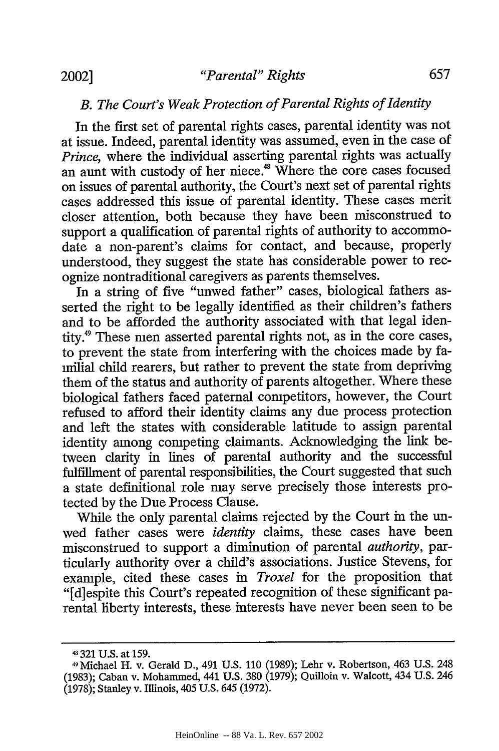# *B. The Court's Weak Protection of Parental Rights of Identity*

In the first set of parental rights cases, parental identity was not at issue. Indeed, parental identity was assumed, even in the case of *Prince,* where the individual asserting parental rights was actually an aunt with custody of her niece.<sup>48</sup> Where the core cases focused on issues of parental authority, the Court's next set of parental rights cases addressed this issue of parental identity. These cases merit closer attention, both because they have been misconstrued to support a qualification of parental rights of authority to accommodate a non-parent's claims for contact, and because, properly understood, they suggest the state has considerable power to recognize nontraditional caregivers as parents themselves.

In a string of five "unwed father" cases, biological fathers asserted the right to be legally identified as their children's fathers and to be afforded the authority associated with that legal identity.49 These men asserted parental rights not, as in the core cases, to prevent the state from interfering with the choices made by familial child rearers, but rather to prevent the state from depriving them of the status and authority of parents altogether. Where these biological fathers faced paternal competitors, however, the Court refused to afford their identity claims any due process protection and left the states with considerable latitude to assign parental identity among competing claimants. Acknowledging the link between clarity in lines of parental authority and the successful fulfillment of parental responsibilities, the Court suggested that such a state definitional role may serve precisely those interests protected by the Due Process Clause.

While the only parental claims rejected by the Court in the unwed father cases were *identity* claims, these cases have been misconstrued to support a diminution of parental *authority,* particularly authority over a child's associations. Justice Stevens, for example, cited these cases in *Troxel* for the proposition that "[d]espite this Court's repeated recognition of these significant parental liberty interests, these interests have never been seen to be

<sup>43321</sup> U.S. at 159.

<sup>4</sup> Michael H. v. Gerald D., 491 U.S. 110 (1989); Lehr v. Robertson, 463 U.S. 248 (1983); Caban v. Mohammed, 441 U.S. 380 (1979); Quilloin v. Walcott, 434 U.S. 246 (1978); Stanley v. Illinois, 405 U.S. 645 (1972).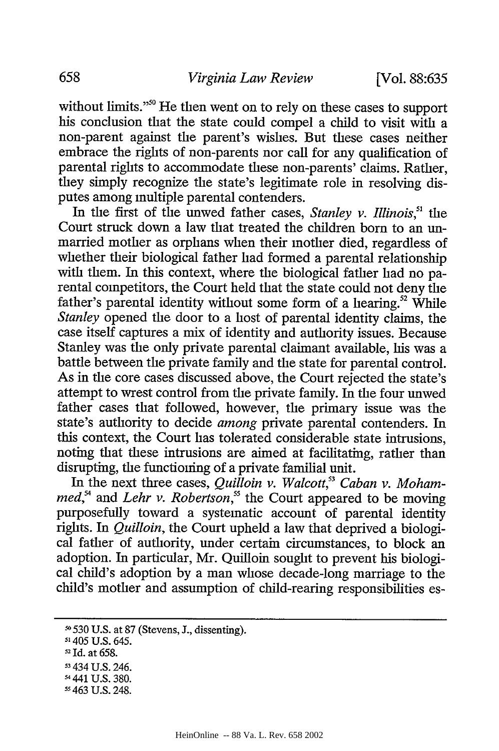without limits."<sup>50</sup> He then went on to rely on these cases to support his conclusion that the state could compel a child to visit with a non-parent against the parent's wishes. But these cases neither embrace the rights of non-parents nor call for any qualification of parental rights to accommodate these non-parents' claims. Rather, they simply recognize the state's legitimate role in resolving disputes among multiple parental contenders.

In the first of the unwed father cases, *Stanley v. Illinois*,<sup>51</sup> the Court struck down a law that treated the children born to an unmarried mother as orphans when their mother died, regardless of whether their biological father had formed a parental relationship with them. In this context, where the biological father had no parental competitors, the Court held that the state could not deny the father's parental identity without some form of a hearing.<sup>52</sup> While *Stanley* opened the door to a host of parental identity claims, the case itself captures a mix of identity and authority issues. Because Stanley was the only private parental claimant available, his was a battle between the private family and the state for parental control. As in the core cases discussed above, the Court rejected the state's attempt to wrest control from the private family. In the four unwed father cases that followed, however, the primary issue was the state's authority to decide *among* private parental contenders. In this context, the Court has tolerated considerable state intrusions, noting that these intrusions are aimed at facilitating, rather than disrupting, the functioning of a private familial unit.

In the next three cases, *Quilloin v. Walcott*,<sup>33</sup> Caban v. Moham $med<sub>5</sub><sup>54</sup>$  and *Lehr v. Robertson*<sup>55</sup>, the Court appeared to be moving purposefully toward a systematic account of parental identity rights. In *Quilloin,* the Court upheld a law that deprived a biological father of authority, under certain circumstances, to block an adoption. In particular, Mr. Quilloin sought to prevent his biological child's adoption by a man whose decade-long marriage to the child's mother and assumption of child-rearing responsibilities es-

- 
- 52 Id. at 658.

**<sup>10</sup>**530 U.S. at 87 (Stevens, J., dissenting). 51405 U.S. 645.

<sup>53 434</sup> U.S. 246.

<sup>&#</sup>x27;4 441 U.S. 380.

**<sup>55</sup>** 463 U.S. 248.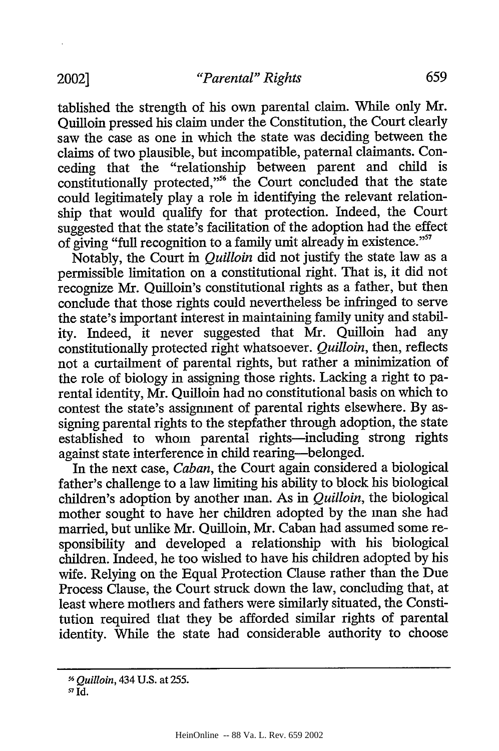tablished the strength of his own parental claim. While only Mr. Quilloin pressed his claim under the Constitution, the Court clearly saw the case as one in which the state was deciding between the claims of two plausible, but incompatible, paternal claimants. Conceding that the "relationship between parent and child is constitutionally protected,"<sup>56</sup> the Court concluded that the state could legitimately play a role in identifying the relevant relationship that would qualify for that protection. Indeed, the Court suggested that the state's facilitation of the adoption had the effect of giving "full recognition to a family unit already in existence."<sup>57</sup>

Notably, the Court in *Quilloin* did not justify the state law as a permissible limitation on a constitutional fight. That is, it did not recognize Mr. Quilloin's constitutional fights as a father, but then conclude that those fights could nevertheless be infringed to serve the state's important interest in maintaining family unity and stability. Indeed, it never suggested that Mr. Quilloin had any constitutionally protected fight whatsoever. *Quilloin,* then, reflects not a curtailment of parental rights, but rather a minimization of the role of biology in assigning those fights. Lacking a right to parental identity, Mr. Quilloin had no constitutional basis on which to contest the state's assignment of parental fights elsewhere. By assigning parental rights to the stepfather through adoption, the state established to whom parental rights-including strong rights against state interference in child rearing-belonged.

In the next case, *Caban,* the Court again considered a biological father's challenge to a law limiting his ability to block his biological children's adoption by another man. As in *Quilloin,* the biological mother sought to have her children adopted by the man she had married, but unlike Mr. Quilloin, Mr. Caban had assumed some responsibility and developed a relationship with his biological children. Indeed, he too wished to have his children adopted by his wife. Relying on the Equal Protection Clause rather than the Due Process Clause, the Court struck down the law, concluding that, at least where mothers and fathers were similarly situated, the Constitution required that they be afforded similar rights of parental identity. While the state had considerable authority to choose

*<sup>56</sup>Quilloin,* 434 U.S. at 255.

SId.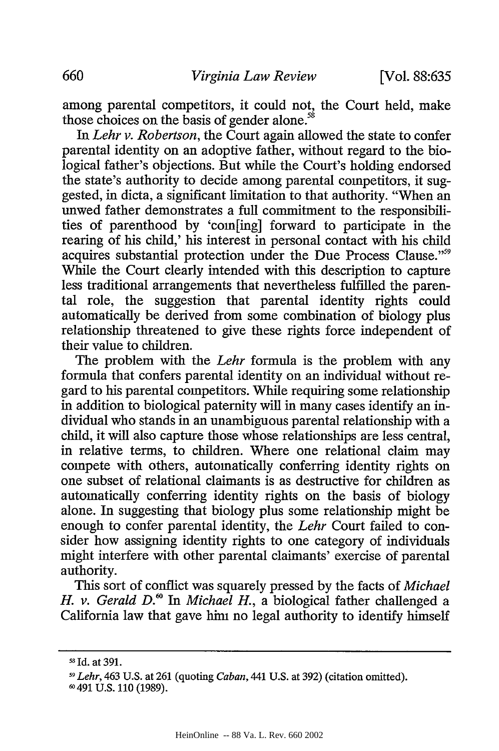among parental competitors, it could not, the Court held, make those choices on the basis of gender alone.<sup>58</sup>

In *Lehr v. Robertson,* the Court again allowed the state to confer parental identity on an adoptive father, without regard to the biological father's objections. But while the Court's holding endorsed the state's authority to decide among parental competitors, it suggested, in dicta, a significant limitation to that authority. "When an unwed father demonstrates a full commitment to the responsibilities of parenthood by 'com[ing] forward to participate in the rearing of his child,' his interest in personal contact with his child acquires substantial protection under the Due Process Clause."<sup>59</sup> While the Court clearly intended with this description to capture less traditional arrangements that nevertheless fulfilled the parental role, the suggestion that parental identity rights could automatically be derived from some combination of biology plus relationship threatened to give these rights force independent of their value to children.

The problem with the *Lehr* formula is the problem with any formula that confers parental identity on an individual without regard to his parental competitors. While requiring some relationship in addition to biological paternity will in many cases identify an individual who stands in an unambiguous parental relationship with a child, it will also capture those whose relationships are less central, in relative terms, to children. Where one relational claim may compete with others, automatically conferring identity rights on one subset of relational claimants is as destructive for children as automatically conferring identity rights on the basis of biology alone. In suggesting that biology plus some relationship might be enough to confer parental identity, the *Lehr* Court failed to consider how assigning identity rights to one category of individuals might interfere with other parental claimants' exercise of parental authority.

This sort of conflict was squarely pressed by the facts of *Michael H. v. Gerald D.*<sup>60</sup> In *Michael H.*, a biological father challenged a California law that gave him no legal authority to identify himself

<sup>&</sup>lt;sup>58</sup> Id. at 391.

**<sup>5</sup> <sup>9</sup>***Lehr,* 463 U.S. at 261 (quoting *Caban,* 441 U.S. at 392) (citation omitted).

**<sup>-</sup>** 491 U.S. 110 (1989).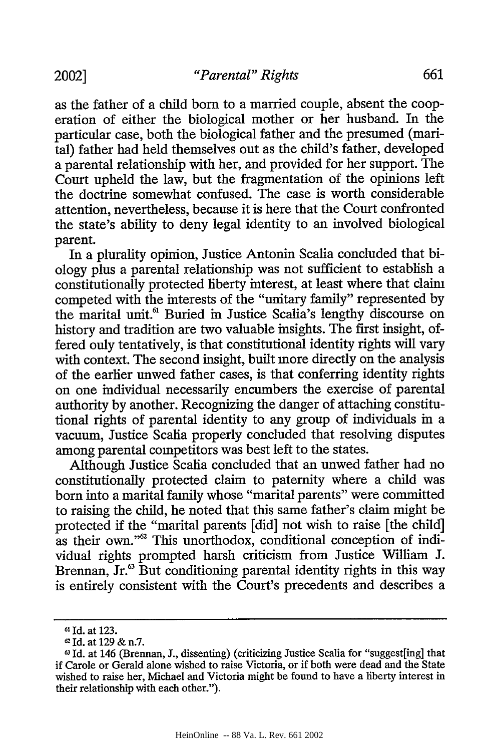2002]

as the father of a child born to a married couple, absent the cooperation of either the biological mother or her husband. In the particular case, both the biological father and the presumed (marital) father had held themselves out as the child's father, developed a parental relationship with her, and provided for her support. The Court upheld the law, but the fragmentation of the opinions left the doctrine somewhat confused. The case is worth considerable attention, nevertheless, because it is here that the Court confronted the state's ability to deny legal identity to an involved biological parent.

In a plurality opinion, Justice Antonin Scalia concluded that biology plus a parental relationship was not sufficient to establish a constitutionally protected liberty interest, at least where that claim competed with the interests of the "unitary family" represented by the marital unit.<sup>61</sup> Buried in Justice Scalia's lengthy discourse on history and tradition are two valuable insights. The first insight, offered only tentatively, is that constitutional identity rights will vary with context. The second insight, built more directly on the analysis of the earlier unwed father cases, is that conferring identity rights on one individual necessarily encumbers the exercise of parental authority by another. Recognizing the danger of attaching constitutional rights of parental identity to any group of individuals in a vacuum, Justice Scalia properly concluded that resolving disputes among parental competitors was best left to the states.

Although Justice Scalia concluded that an unwed father had no constitutionally protected claim to paternity where a child was born into a marital family whose "marital parents" were committed to raising the child, he noted that this same father's claim might be protected if the "marital parents [did] not wish to raise [the child] as their own."<sup>62</sup> This unorthodox, conditional conception of individual rights prompted harsh criticism from Justice William J. Brennan, Jr.<sup>63</sup> But conditioning parental identity rights in this way is entirely consistent with the Court's precedents and describes a

**<sup>61</sup>** Id. at 123.

 $^{\circ}$  Id. at 129 & n.7.

Id. at 146 (Brennan, J., dissenting) (criticizing Justice Scalia for "suggest[ing] that if Carole or Gerald alone wished to raise Victoria, or if both were dead and the State wished to raise her, Michael and Victoria might be found to have a liberty interest in their relationship with each other.").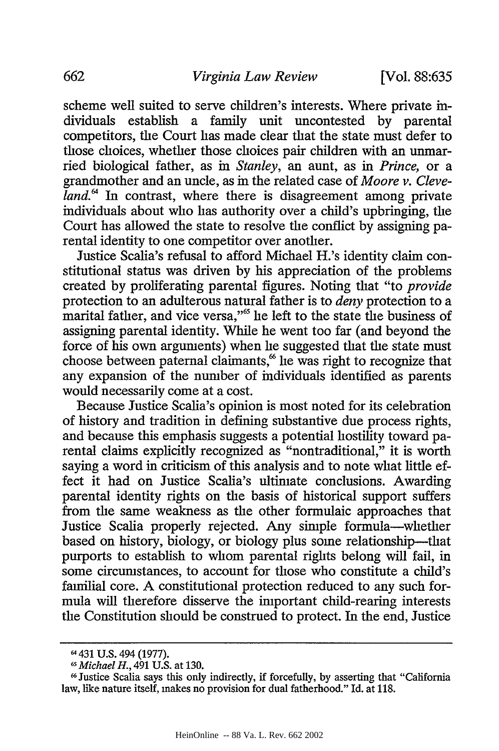scheme well suited to serve children's interests. Where private individuals establish a family unit uncontested by parental competitors, the Court has made clear that the state must defer to those choices, whether those choices pair children with an unmarried biological father, as in *Stanley,* an aunt, as in *Prince,* or a grandmother and an uncle, as in the related case of *Moore v. Cleveland.*<sup>4</sup> In contrast, where there is disagreement among private individuals about who has authority over a child's upbringing, the Court has allowed the state to resolve the conflict by assigning parental identity to one competitor over another.

Justice Scalia's refusal to afford Michael H.'s identity claim constitutional status was driven by his appreciation of the problems created by proliferating parental figures. Noting that "to *provide* protection to an adulterous natural father is to *deny* protection to a marital father, and vice versa,"<sup>65</sup> he left to the state the business of assigning parental identity. While he went too far (and beyond the force of his own arguments) when he suggested that the state must choose between paternal claimants,<sup>66</sup> he was right to recognize that any expansion of the number of individuals identified as parents would necessarily come at a cost.

Because Justice Scalia's opinion is most noted for its celebration of history and tradition in defining substantive due process rights, and because this emphasis suggests a potential hostility toward parental claims explicitly recognized as "nontraditional," it is worth saying a word in criticism of this analysis and to note what little effect it had on Justice Scalia's ultimate conclusions. Awarding parental identity rights on the basis of historical support suffers from the same weakness as the other formulaic approaches that Justice Scalia properly rejected. Any simple formula-whether based on history, biology, or biology plus some relationship-that purports to establish to whom parental rights belong will fail, in some circumstances, to account for those who constitute a child's familial core. A constitutional protection reduced to any such formula will therefore disserve the important child-rearing interests the Constitution should be construed to protect. In the end, Justice

<sup>64 431</sup> U.S. 494 (1977).

*Michael H.,* 491 U.S. at 130.

<sup>16</sup> Justice Scalia says this only indirectly, if forcefully, by asserting that "California lav, like nature itself, makes no provision for dual fatherhood." Id. at 118.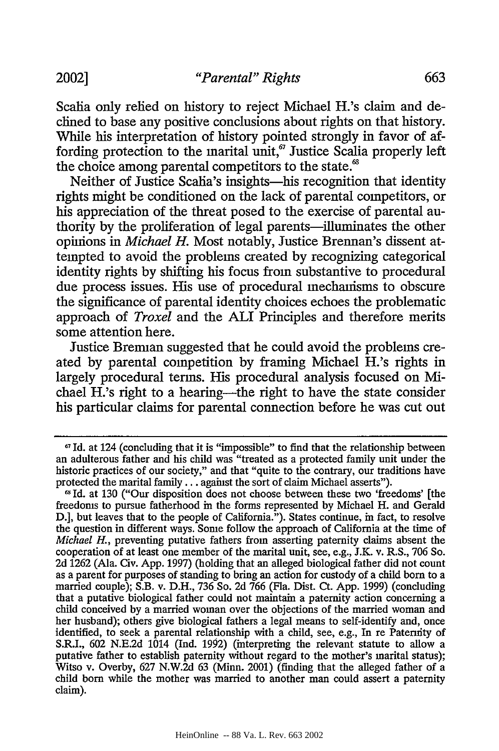Scalia only relied on history to reject Michael H.'s claim and declined to base any positive conclusions about rights on that history. While his interpretation of history pointed strongly in favor of affording protection to the marital unit, $\sigma$  Justice Scalia properly left the choice among parental competitors to the state.<sup>8</sup>

Neither of Justice Scalia's insights-his recognition that identity fights might be conditioned on the lack of parental competitors, or his appreciation of the threat posed to the exercise of parental authority by the proliferation of legal parents-illuminates the other opinions in *Michael H.* Most notably, Justice Brennan's dissent attempted to avoid the problems created by recognizing categorical identity rights by shifting his focus from substantive to procedural due process issues. His use of procedural mechanisms to obscure the significance of parental identity choices echoes the problematic approach of *Troxel* and the ALI Principles and therefore merits some attention here.

Justice Brennan suggested that he could avoid the problems created by parental competition by framing Michael H.'s rights in largely procedural terms. His procedural analysis focused on Michael H.'s right to a hearing—the right to have the state consider his particular claims for parental connection before he was cut out

**<sup>67</sup>**Id. at 124 (concluding that it is "impossible" to find that the relationship between an adulterous father and his child was "treated as a protected family unit under the historic practices of our society," and that "quite to the contrary, our traditions have protected the marital family **...** against the sort of claim Michael asserts").

Id. at **130** ("Our disposition does not choose between these two 'freedoms' [the freedoms to pursue fatherhood in the forms represented by Michael H. and Gerald D.], but leaves that to the people of California."). States continue, in fact, to resolve the question in different ways. Some follow the approach of California at the time of *Michael H.,* preventing putative fathers from asserting paternity claims absent the cooperation of at least one member of the marital unit, see, e.g., J.K. v. R.S., 706 So. 2d 1262 (Ala. Civ. App. 1997) (holding that an alleged biological father did not count as a parent for purposes of standing to bring an action for custody of a child born to a married couple); S.B. v. D.H., 736 So. 2d 766 (Fla. Dist. Ct. App. 1999) (concluding that a putative biological father could not maintain a paternity action concerning a child conceived by a married woman over the objections of the married woman and her husband); others give biological fathers a legal means to self-identify and, once identified, to seek a parental relationship with a child, see, e.g., In re Paternity of S.R.I., 602 N.E.2d 1014 (Ind. 1992) (interpreting the relevant statute to allow a putative father to establish paternity without regard to the mother's marital status); Witso v. Overby, 627 N.W.2d 63 (Minn. 2001) (finding that the alleged father of a child born while the mother was married to another man could assert a paternity claim).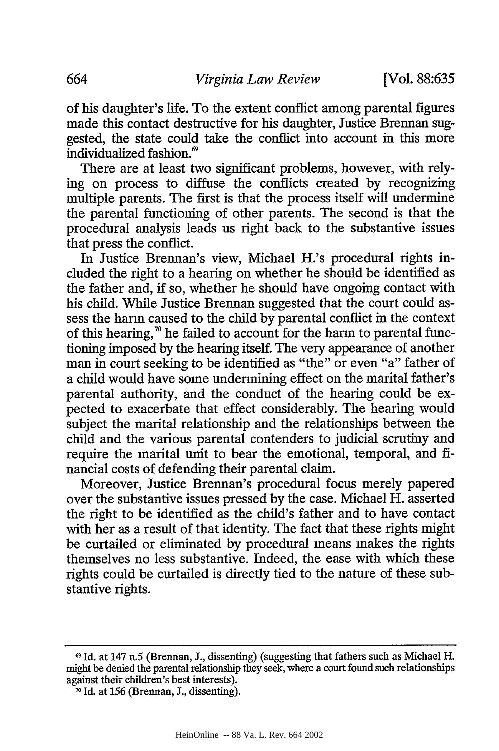of his daughter's life. To the extent conflict among parental figures made this contact destructive for his daughter, Justice Brennan suggested, the state could take the conflict into account in this more individualized fashion.<sup>69</sup>

There are at least two significant problems, however, with relying on process to diffuse the conflicts created by recognizing multiple parents. The first is that the process itself will undermine the parental functioning of other parents. The second is that the procedural analysis leads us right back to the substantive issues that press the conflict.

In Justice Brennan's view, Michael H.'s procedural rights included the right to a hearing on whether he should be identified as the father and, if so, whether he should have ongoing contact with his child. While Justice Brennan suggested that the court could assess the harm caused to the child by parental conflict in the context of this hearing,<sup>70</sup> he failed to account for the harm to parental functioning imposed by the hearing itself. The very appearance of another man in court seeking to be identified as "the" or even "a" father of a child would have some undermining effect on the marital father's parental authority, and the conduct of the hearing could be expected to exacerbate that effect considerably. The hearing would subject the marital relationship and the relationships between the child and the various parental contenders to judicial scrutiny and require the marital unit to bear the emotional, temporal, and financial costs of defending their parental claim.

Moreover, Justice Brennan's procedural focus merely papered over the substantive issues pressed by the case. Michael H. asserted the right to be identified as the child's father and to have contact with her as a result of that identity. The fact that these rights might be curtailed or eliminated by procedural means makes the rights themselves no less substantive. Indeed, the ease with which these rights could be curtailed is directly tied to the nature of these substantive rights.

**<sup>69</sup>** Id. at 147 n.5 (Brennan, J., dissenting) (suggesting that fathers such as Michael H. might be denied the parental relationship they seek, where a court found such relationships against their children's best interests).

**<sup>70</sup>** Id. at 156 (Brennan, J., dissenting).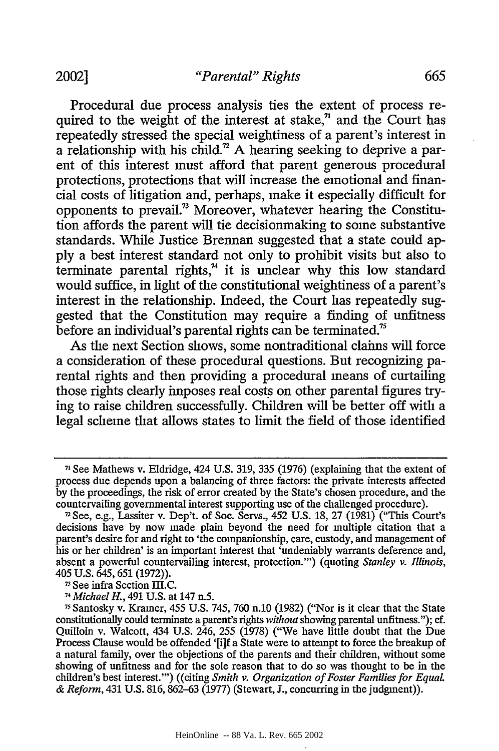Procedural due process analysis ties the extent of process required to the weight of the interest at stake, $\eta$  and the Court has repeatedly stressed the special weightiness of a parent's interest in a relationship with his child.<sup> $n$ </sup> A hearing seeking to deprive a parent of this interest must afford that parent generous procedural protections, protections that will increase the emotional and financial costs of litigation and, perhaps, make it especially difficult for opponents to prevail.<sup>73</sup> Moreover, whatever hearing the Constitution affords the parent will tie decisionmaking to some substantive standards. While Justice Brennan suggested that a state could apply a best interest standard not only to prohibit visits but also to terminate parental rights, $<sup>74</sup>$  it is unclear why this low standard</sup> would suffice, in light of the constitutional weightiness of a parent's interest in the relationship. Indeed, the Court has repeatedly suggested that the Constitution may require a finding of unfitness before an individual's parental rights can be terminated.<sup>75</sup>

As the next Section shows, some nontraditional claims will force a consideration of these procedural questions. But recognizing parental rights and then providing a procedural means of curtailing those rights clearly imposes real costs on other parental figures trying to raise children successfully. Children will be better off with a legal scheme that allows states to limit the field of those identified

**<sup>7&#</sup>x27;** See Mathews v. Eldridge, 424 U.S. 319, 335 (1976) (explaining that the extent of process due depends upon a balancing of three factors: the private interests affected by the proceedings, the risk of error created by the State's chosen procedure, and the countervailing governmental interest supporting use of the challenged procedure).

<sup>2</sup> See, e.g., Lassiter v. Dep't. of Soc. Servs., 452 U.S. 18, 27 (1981) ("This Court's decisions have by now made plain beyond the need for multiple citation that a parent's desire for and right to 'the companionship, care, custody, and management of his or her children' is an important interest that 'undeniably warrants deference and, absent a powerful countervailing interest, protection."') (quoting *Stanley v. Illinois,* 405 U.S. 645,651 (1972)).

<sup>&</sup>lt;sup>73</sup> See infra Section III.C.

*<sup>74</sup> Michael H.,* 491 U.S. at 147 n.5.

**<sup>75</sup>** Santosky v. Kramer, 455 U.S. 745, 760 n.10 (1982) ("Nor is it clear that the State constitutionally could terminate a parent's rights *without* showing parental unfitness."); cf. Quilloin v. Walcott, 434 U.S. 246, 255 (1978) ("We have little doubt that the Due Process Clause would be offended '[i]f a State were to attempt to force the breakup of a natural family, over the objections of the parents and their children, without some showing of unfitness and for the sole reason that to do so was thought to be in the children's best interest."') ((citing *Smith v. Organization of Foster Families for Equal & Reform,* 431 U.S. 816, 862-63 (1977) (Stewart, J., concurring in the judgment)).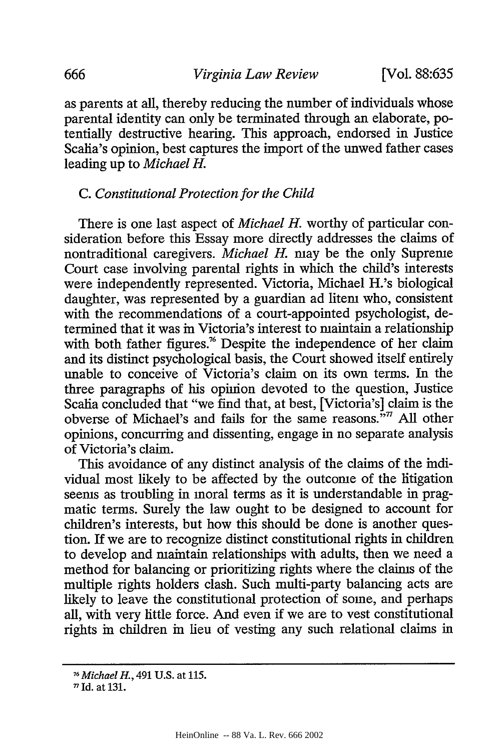as parents at all, thereby reducing the number of individuals whose parental identity can only be terminated through an elaborate, potentially destructive hearing. This approach, endorsed in Justice Scalia's opinion, best captures the import of the unwed father cases leading up to *Michael H.*

#### *C. Constitutional Protection for the Child*

There is one last aspect of *Michael H.* worthy of particular consideration before this Essay more directly addresses the claims of nontraditional caregivers. *Michael H.* may be the only Supreme Court case involving parental rights in which the child's interests were independently represented. Victoria, Michael H.'s biological daughter, was represented by a guardian ad litem who, consistent with the recommendations of a court-appointed psychologist, determined that it was in Victoria's interest to maintain a relationship with both father figures.<sup>76</sup> Despite the independence of her claim and its distinct psychological basis, the Court showed itself entirely unable to conceive of Victoria's claim on its own terms. In the three paragraphs of his opinion devoted to the question, Justice Scalia concluded that "we find that, at best, [Victoria's] claim is the obverse of Michael's and fails for the same reasons.<sup>577</sup> All other opinions, concurring and dissenting, engage in no separate analysis of Victoria's claim.

This avoidance of any distinct analysis of the claims of the individual most likely to be affected by the outcome of the litigation seems as troubling in moral terms as it is understandable in pragmatic terms. Surely the law ought to be designed to account for children's interests, but how this should be done is another question. If we are to recognize distinct constitutional rights in children to develop and maintain relationships with adults, then we need a method for balancing or prioritizing rights where the claims of the multiple rights holders clash. Such multi-party balancing acts are likely to leave the constitutional protection of some, and perhaps all, with very little force. And even if we are to vest constitutional rights in children in lieu of vesting any such relational claims in

*<sup>&</sup>quot;6Michael H.,* 491 U.S. at 115.

*<sup>&#</sup>x27;n* Id. at 131.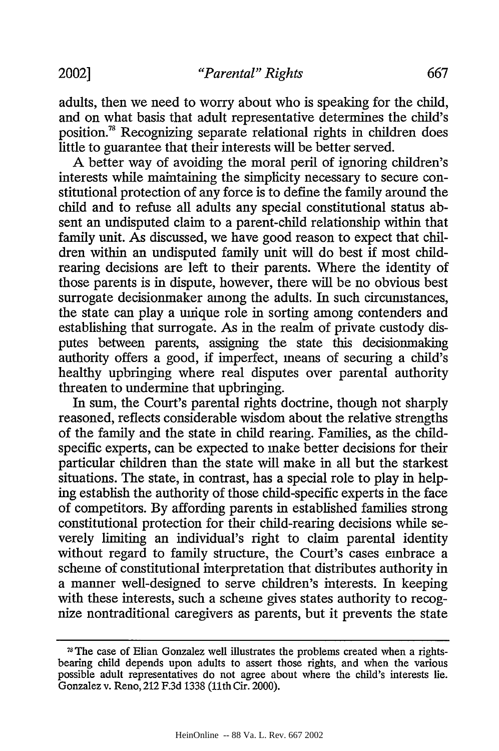adults, then we need to worry about who is speaking for the child, and on what basis that adult representative determines the child's position.<sup>78</sup> Recognizing separate relational rights in children does little to guarantee that their interests will be better served.

A better way of avoiding the moral peril of ignoring children's interests while maintaining the simplicity necessary to secure constitutional protection of any force is to define the family around the child and to refuse all adults any special constitutional status absent an undisputed claim to a parent-child relationship within that family unit. As discussed, we have good reason to expect that children within an undisputed family unit will do best if most childrearing decisions are left to their parents. Where the identity of those parents is in dispute, however, there will be no obvious best surrogate decisionmaker among the adults. In such circumstances, the state can play a unique role in sorting among contenders and establishing that surrogate. As in the realm of private custody disputes between parents, assigning the state this decisionmaking authority offers a good, if imperfect, means of securing a child's healthy upbringing where real disputes over parental authority threaten to undermine that upbringing.

In sum, the Court's parental rights doctrine, though not sharply reasoned, reflects considerable wisdom about the relative strengths of the family and the state in child rearing. Families, as the childspecific experts, can be expected to make better decisions for their particular children than the state will make in all but the starkest situations. The state, in contrast, has a special role to play in helping establish the authority of those child-specific experts in the face of competitors. By affording parents in established families strong constitutional protection for their child-rearing decisions while severely limiting an individual's right to claim parental identity without regard to family structure, the Court's cases embrace a scheme of constitutional interpretation that distributes authority in a manner well-designed to serve children's interests. In keeping with these interests, such a scheme gives states authority to recognize nontraditional caregivers as parents, but it prevents the state

<sup>78</sup> The case of Elian Gonzalez well illustrates the problems created when a rightsbearing child depends upon adults to assert those rights, and when the various possible adult representatives do not agree about where the child's interests lie. Gonzalez v. Reno, 212 F.3d 1338 (11th Cir. 2000).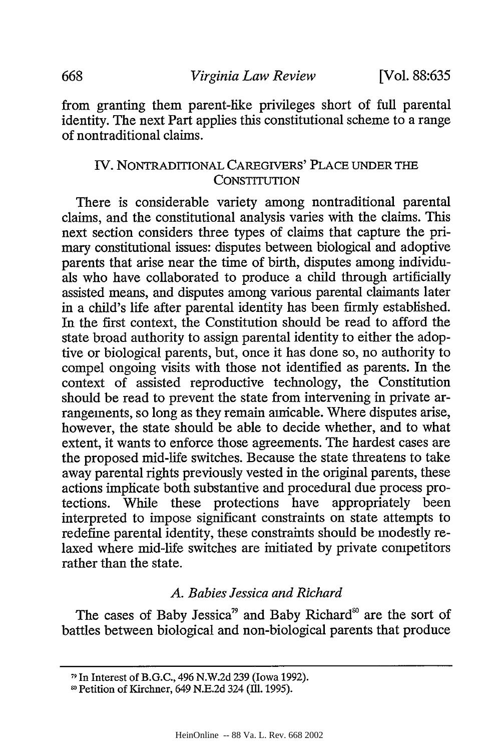from granting them parent-like privileges short of full parental identity. The next Part applies this constitutional scheme to a range of nontraditional claims.

# IV. NONTRADITIONAL CAREGIVERS' PLACE UNDER THE **CONSTITUTION**

There is considerable variety among nontraditional parental claims, and the constitutional analysis varies with the claims. This next section considers three types of claims that capture the primary constitutional issues: disputes between biological and adoptive parents that arise near the time of birth, disputes among individuals who have collaborated to produce a child through artificially assisted means, and disputes among various parental claimants later in a child's life after parental identity has been firmly established. In the first context, the Constitution should be read to afford the state broad authority to assign parental identity to either the adoptive or biological parents, but, once it has done so, no authority to compel ongoing visits with those not identified as parents. In the context of assisted reproductive technology, the Constitution should be read to prevent the state from intervening in private arrangements, so long as they remain amicable. Where disputes arise, however, the state should be able to decide whether, and to what extent, it wants to enforce those agreements. The hardest cases are the proposed mid-life switches. Because the state threatens to take away parental rights previously vested in the original parents, these actions implicate both substantive and procedural due process protections. While these protections have appropriately been interpreted to impose significant constraints on state attempts to redefine parental identity, these constraints should be modestly relaxed where mid-life switches are initiated by private competitors rather than the state.

#### *A. Babies Jessica and Richard*

The cases of Baby Jessica<sup>79</sup> and Baby Richard<sup>80</sup> are the sort of battles between biological and non-biological parents that produce

**<sup>71</sup>** In Interest of B.G.C., 496 N.W.2d 239 (Iowa 1992).

**<sup>81</sup>** Petition of Kirchner, 649 N.E.2d 324 **(111.** 1995).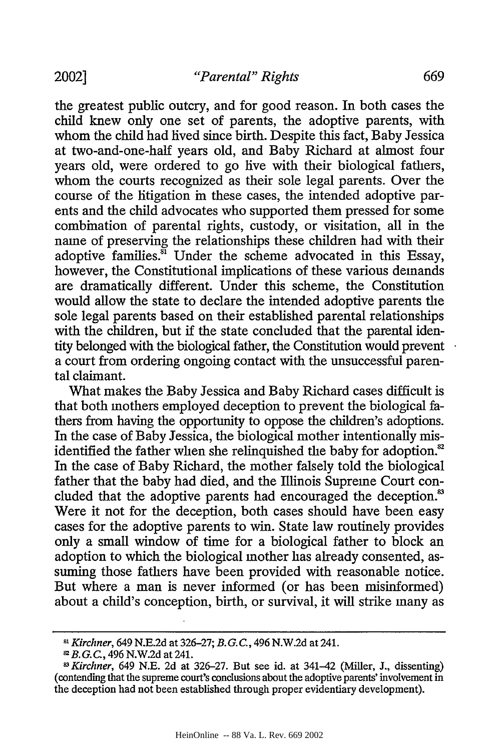the greatest public outcry, and for good reason. In both cases the child knew only one set of parents, the adoptive parents, with whom the child had lived since birth. Despite this fact, Baby Jessica at two-and-one-half years old, and Baby Richard at almost four years old, were ordered to go live with their biological fathers, whom the courts recognized as their sole legal parents. Over the course of the litigation in these cases, the intended adoptive parents and the child advocates who supported them pressed for some combination of parental rights, custody, or visitation, all in the name of preserving the relationships these children had with their adoptive families. $\overline{31}$  Under the scheme advocated in this Essay, however, the Constitutional implications of these various demands are dramatically different. Under this scheme, the Constitution would allow the state to declare the intended adoptive parents the sole legal parents based on their established parental relationships with the children, but if the state concluded that the parental identity belonged with the biological father, the Constitution would prevent a court from ordering ongoing contact with the unsuccessful parental claimant.

What makes the Baby Jessica and Baby Richard cases difficult is that both mothers employed deception to prevent the biological fathers from having the opportunity to oppose the children's adoptions. In the case of Baby Jessica, the biological mother intentionally misidentified the father when she relinquished the baby for adoption.<sup>82</sup> In the case of Baby Richard, the mother falsely told the biological father that the baby had died, and the Illinois Supreme Court concluded that the adoptive parents had encouraged the deception.<sup>83</sup> Were it not for the deception, both cases should have been easy cases for the adoptive parents to win. State law routinely provides only a small window of time for a biological father to block an adoption to which the biological mother has already consented, assuming those fathers have been provided with reasonable notice. But where a man is never informed (or has been misinformed) about a child's conception, birth, or survival, it will strike many as

*<sup>81</sup> Kirchner,* 649 N.E.2d at 326-27; *B.G.C.,* 496 N.W.2d at 241.

*SB.G.C.,* 496 N.W.2d at 241.

*<sup>1</sup> Kirchner,* 649 N.E. 2d at 326-27. But see id. at 341-42 (Miller, J., dissenting) (contending that the supreme court's conclusions about the adoptive parents' involvement in the deception had not been established through proper evidentiary development).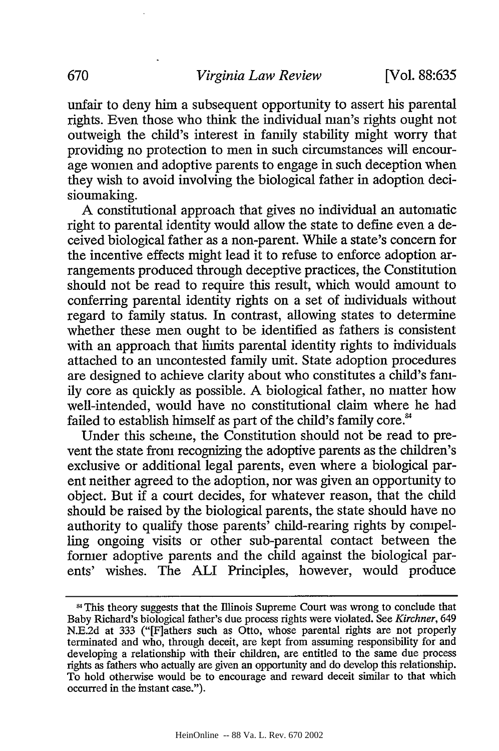unfair to deny him a subsequent opportunity to assert his parental fights. Even those who think the individual man's fights ought not outweigh the child's interest in family stability might worry that providing no protection to men in such circumstances will encourage women and adoptive parents to engage in such deception when they wish to avoid involving the biological father in adoption decisioumaking.

A constitutional approach that gives no individual an automatic right to parental identity would allow the state to define even a deceived biological father as a non-parent. While a state's concern for the incentive effects might lead it to refuse to enforce adoption arrangements produced through deceptive practices, the Constitution should not be read to require this result, which would amount to conferring parental identity fights on a set of individuals without regard to family status. In contrast, allowing states to determine whether these men ought to be identified as fathers is consistent with an approach that limits parental identity rights to individuals attached to an uncontested family unit. State adoption procedures are designed to achieve clarity about who constitutes a child's family core as quickly as possible. A biological father, no matter how well-intended, would have no constitutional claim where he had failed to establish himself as part of the child's family core.<sup>84</sup>

Under this scheme, the Constitution should not be read to prevent the state from recognizing the adoptive parents as the children's exclusive or additional legal parents, even where a biological parent neither agreed to the adoption, nor was given an opportunity to object. But if a court decides, for whatever reason, that the child should be raised by the biological parents, the state should have no authority to qualify those parents' child-rearing fights by compelling ongoing visits or other sub-parental contact between the former adoptive parents and the child against the biological parents' wishes. The ALI Principles, however, would produce

This theory suggests that the Illinois Supreme Court was wrong to conclude that Baby Richard's biological father's due process rights were violated. See *Kirchner, 649* N.E.2d at 333 ("[F]athers such as Otto, whose parental rights are not properly terminated and who, through deceit, are kept from assuming responsibility for and developing a relationship with their children, are entitled to the same due process rights as fathers who actually are given an opportunity and do develop this relationship. To hold otherwise would be to encourage and reward deceit similar to that which occurred in the instant case.").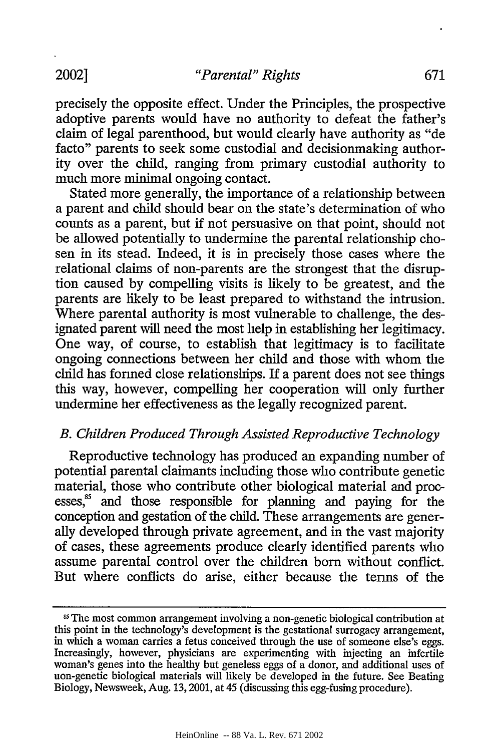precisely the opposite effect. Under the Principles, the prospective adoptive parents would have no authority to defeat the father's claim of legal parenthood, but would clearly have authority as "de facto" parents to seek some custodial and decisionmaking authority over the child, ranging from primary custodial authority to much more minimal ongoing contact.

Stated more generally, the importance of a relationship between a parent and child should bear on the state's determination of who counts as a parent, but if not persuasive on that point, should not be allowed potentially to undermine the parental relationship chosen in its stead. Indeed, it is in precisely those cases where the relational claims of non-parents are the strongest that the disruption caused by compelling visits is likely to be greatest, and the parents are likely to be least prepared to withstand the intrusion. Where parental authority is most vulnerable to challenge, the designated parent will need the most help in establishing her legitimacy. One way, of course, to establish that legitimacy is to facilitate ongoing connections between her child and those with whom the child has formed close relationships. If a parent does not see things this way, however, compelling her cooperation will only further undermine her effectiveness as the legally recognized parent.

# *B. Children Produced Through Assisted Reproductive Technology*

Reproductive technology has produced an expanding number of potential parental claimants including those who contribute genetic material, those who contribute other biological material and processes,<sup>85</sup> and those responsible for planning and paying for the conception and gestation of the child. These arrangements are generally developed through private agreement, and in the vast majority of cases, these agreements produce clearly identified parents who assume parental control over the children born without conflict. But where conflicts do arise, either because the terms of the

**<sup>15</sup>** The most common arrangement involving a non-genetic biological contribution at this point in the technology's development is the gestational surrogacy arrangement, in which a woman carries a fetus conceived through the use of someone else's eggs. Increasingly, however, physicians are experimenting with injecting an infertile woman's genes into the healthy but geneless eggs of a donor, and additional uses of non-genetic biological materials will likely be developed in the future. See Beating Biology, Newsweek, Aug. 13,2001, at 45 (discussing this egg-fusing procedure).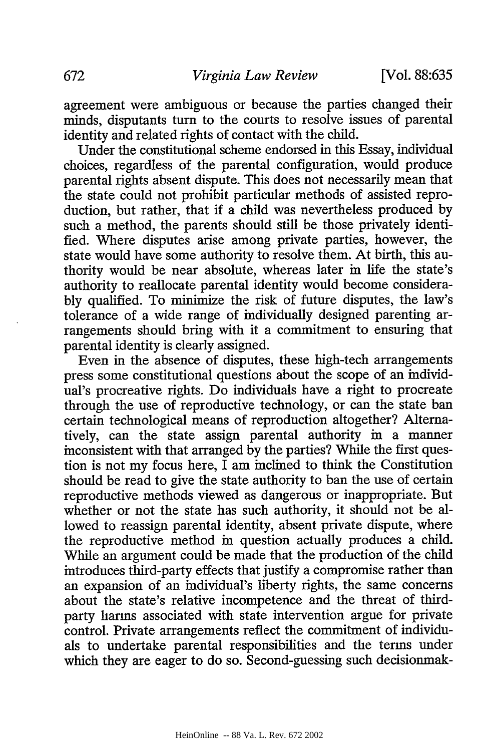agreement were ambiguous or because the parties changed their minds, disputants turn to the courts to resolve issues of parental identity and related fights of contact with the child.

Under the constitutional scheme endorsed in this Essay, individual choices, regardless of the parental configuration, would produce parental fights absent dispute. This does not necessarily mean that the state could not prohibit particular methods of assisted reproduction, but rather, that if a child was nevertheless produced by such a method, the parents should still be those privately identified. Where disputes arise among private parties, however, the state would have some authority to resolve them. At birth, this authority would be near absolute, whereas later in life the state's authority to reallocate parental identity would become considerably qualified. To minimize the risk of future disputes, the law's tolerance of a wide range of individually designed parenting arrangements should bring with it a commitment to ensuring that parental identity is clearly assigned.

Even in the absence of disputes, these high-tech arrangements press some constitutional questions about the scope of an individual's procreative rights. Do individuals have a right to procreate through the use of reproductive technology, or can the state ban certain technological means of reproduction altogether? Alternatively, can the state assign parental authority in a manner inconsistent with that arranged by the parties? While the first question is not my focus here, I am inclined to think the Constitution should be read to give the state authority to ban the use of certain reproductive methods viewed as dangerous or inappropriate. But whether or not the state has such authority, it should not be allowed to reassign parental identity, absent private dispute, where the reproductive method in question actually produces a child. While an argument could be made that the production of the child introduces third-party effects that justify a compromise rather than an expansion of an individual's liberty rights, the same concerns about the state's relative incompetence and the threat of thirdparty harms associated with state intervention argue for private control. Private arrangements reflect the commitment of individuals to undertake parental responsibilities and the terms under which they are eager to do so. Second-guessing such decisionmak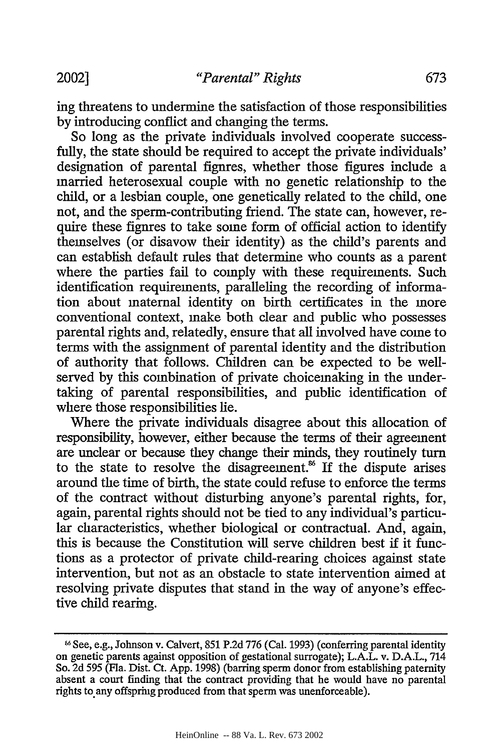ing threatens to undermine the satisfaction of those responsibilities by introducing conflict and changing the terms.

So long as the private individuals involved cooperate successfully, the state should be required to accept the private individuals' designation of parental figures, whether those figures include a married heterosexual couple with no genetic relationship to the child, or a lesbian couple, one genetically related to the child, one not, and the sperm-contributing friend. The state can, however, require these figures to take some form of official action to identify themselves (or disavow their identity) as the child's parents and can establish default rules that determine who counts as a parent where the parties fail to comply with these requirements. Such identification requirements, paralleling the recording of information about maternal identity on birth certificates in the more conventional context, make both clear and public who possesses parental rights and, relatedly, ensure that all involved have come to terms with the assignment of parental identity and the distribution of authority that follows. Children can be expected to be wellserved by this combination of private choicemaking in the undertaking of parental responsibilities, and public identification of where those responsibilities lie.

Where the private individuals disagree about this allocation of responsibility, however, either because the terms of their agreement are unclear or because they change their minds, they routinely turn to the state to resolve the disagreement.<sup>86</sup> If the dispute arises around the time of birth, the state could refuse to enforce the terms of the contract without disturbing anyone's parental rights, for, again, parental rights should not be tied to any individual's particular characteristics, whether biological or contractual. And, again, this is because the Constitution will serve children best if it functions as a protector of private child-rearing choices against state intervention, but not as an obstacle to state intervention aimed at resolving private disputes that stand in the way of anyone's effective child rearing.

**<sup>6</sup>**See, e.g., Johnson v. Calvert, 851 P.2d 776 (Cal. 1993) (conferring parental identity on genetic parents against opposition of gestational surrogate); L.A.L. v. D.A.L., 714 So. 2d *595* (Fla. Dist. Ct. App. 1998) (barring sperm donor from establishing paternity absent a court finding that the contract providing that he would have no parental rights to any offspring produced from that sperm was unenforceable).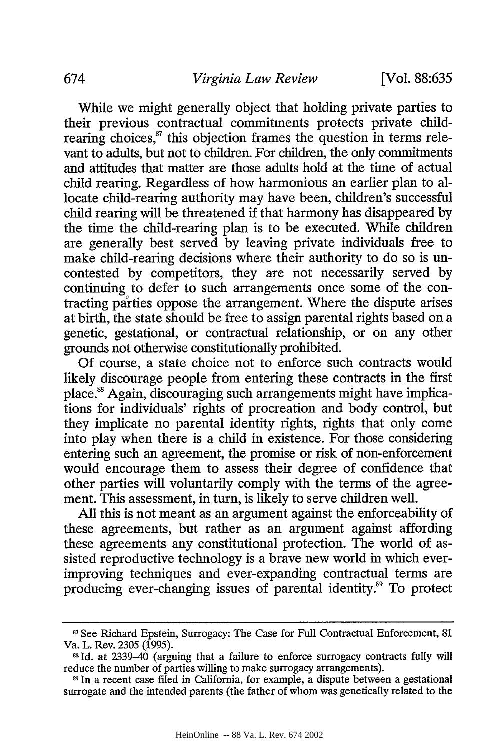While we might generally object that holding private parties to their previous contractual commitments protects private childrearing choices, $s<sup>7</sup>$  this objection frames the question in terms relevant to adults, but not to children. For children, the only commitments and attitudes that matter are those adults hold at the time of actual child rearing. Regardless of how harmonious an earlier plan to allocate child-rearing authority may have been, children's successful child rearing will be threatened if that harmony has disappeared by the time the child-rearing plan is to be executed. While children are generally best served by leaving private individuals free to make child-rearing decisions where their authority to do so is uncontested by competitors, they are not necessarily served by continuing to defer to such arrangements once some of the contracting parties oppose the arrangement. Where the dispute arises at birth, the state should be free to assign parental rights based on a genetic, gestational, or contractual relationship, or on any other grounds not otherwise constitutionally prohibited.

Of course, a state choice not to enforce such contracts would likely discourage people from entering these contracts in the first place.<sup>88</sup> Again, discouraging such arrangements might have implications for individuals' rights of procreation and body control, but they implicate no parental identity rights, rights that only come into play when there is a child in existence. For those considering entering such an agreement, the promise or risk of non-enforcement would encourage them to assess their degree of confidence that other parties will voluntarily comply with the terms of the agreement. This assessment, in turn, is likely to serve children well.

All this is not meant as an argument against the enforceability of these agreements, but rather as an argument against affording these agreements any constitutional protection. The world of assisted reproductive technology is a brave new world in which everimproving techniques and ever-expanding contractual terms are producing ever-changing issues of parental identity.<sup>89</sup> To protect

<sup>&</sup>lt;sup>87</sup> See Richard Epstein, Surrogacy: The Case for Full Contractual Enforcement, 81 Va. L. Rev. 2305 (1995).

Id. at 2339-40 (arguing that a failure to enforce surrogacy contracts fully will reduce the number of parties willing to make surrogacy arrangements).

*s9* In a recent case filed in California, for example, a dispute between a gestational surrogate and the intended parents (the father of whom was genetically related to the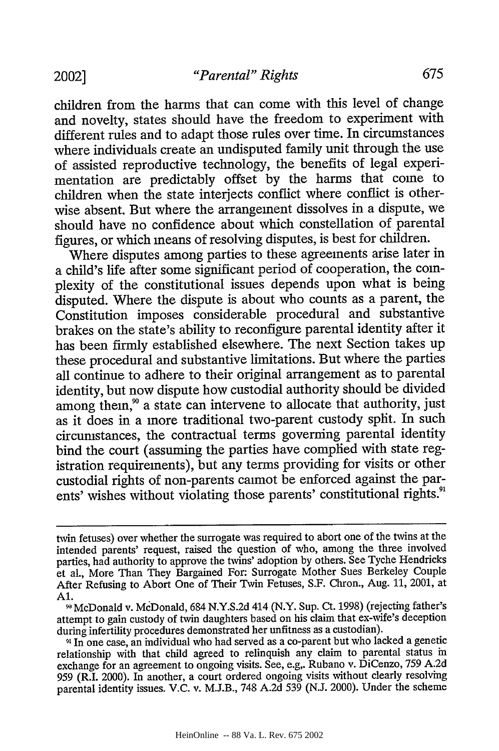children from the harms that can come with this level of change and novelty, states should have the freedom to experiment with different rules and to adapt those rules over time. In circumstances where individuals create an undisputed family unit through the use of assisted reproductive technology, the benefits of legal experimentation are predictably offset by the harms that come to children when the state interjects conflict where conflict is otherwise absent. But where the arrangement dissolves in a dispute, we should have no confidence about which constellation of parental figures, or which means of resolving disputes, is best for children.

Where disputes among parties to these agreements arise later in a child's life after some significant period of cooperation, the complexity of the constitutional issues depends upon what is being disputed. Where the dispute is about who counts as a parent, the Constitution imposes considerable procedural and substantive brakes on the state's ability to reconfigure parental identity after it has been firmly established elsewhere. The next Section takes up these procedural and substantive limitations. But where the parties all continue to adhere to their original arrangement as to parental identity, but now dispute how custodial authority should be divided among them,<sup>90</sup> a state can intervene to allocate that authority, just as it does in a more traditional two-parent custody split. In such circumstances, the contractual terms governing parental identity bind the court (assuming the parties have complied with state registration requirements), but any terms providing for visits or other custodial rights of non-parents cannot be enforced against the parents' wishes without violating those parents' constitutional rights.<sup>91</sup>

**91** In one case, an individual who had served as a co-parent but who lacked a genetic relationship with that child agreed to relinquish any claim to parental status in exchange for an agreement to ongoing visits. See, e.g,. Rubano v. DiCenzo, 759 A.2d 959 (R.I. 2000). In another, a court ordered ongoing visits without clearly resolving parental identity issues. V.C. v. M.J.B., 748 A.2d 539 (N.J. 2000). Under the scheme

twin fetuses) over whether the surrogate was required to abort one of the twins at the intended parents' request, raised the question of who, among the three involved parties, had authority to approve the twins' adoption by others. See Tyche Hendricks et al., More Than They Bargained For: Surrogate Mother Sues Berkeley Couple After Refusing to Abort One of Their Twin Fetuses, S.F. Chron., Aug. 11, 2001, at Al.

**<sup>0</sup>** McDonald v. McDonald, 684 N.Y.S.2d 414 (N.Y. Sup. Ct. 1998) (rejecting father's attempt to gain custody of twin daughters based on his claim that ex-wife's deception during infertility procedures demonstrated her unfitness as a custodian).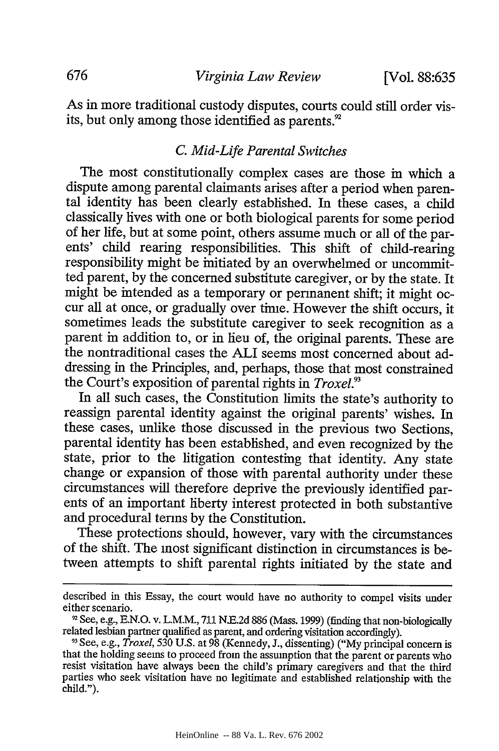As in more traditional custody disputes, courts could still order visits, but only among those identified as parents.<sup>92</sup>

#### *C. Mid-Life Parental Switches*

The most constitutionally complex cases are those in which a dispute among parental claimants arises after a period when parental identity has been clearly established. In these cases, a child classically lives with one or both biological parents for some period of her life, but at some point, others assume much or all of the parents' child rearing responsibilities. This shift of child-rearing responsibility might be mitiated by an overwhelmed or uncommitted parent, by the concerned substitute caregiver, or by the state. It might be intended as a temporary or permanent shift; it might occur all at once, or gradually over time. However the shift occurs, it sometimes leads the substitute caregiver to seek recognition as a parent in addition to, or in lieu of, the original parents. These are the nontraditional cases the ALI seems most concerned about addressing in the Principles, and, perhaps, those that most constrained the Court's exposition of parental rights in *Troxel?*

In all such cases, the Constitution limits the state's authority to reassign parental identity against the original parents' wishes. In these cases, unlike those discussed in the previous two Sections, parental identity has been established, and even recognized by the state, prior to the litigation contesting that identity. Any state change or expansion of those with parental authority under these circumstances will therefore deprive the previously identified parents of an important liberty interest protected in both substantive and procedural terms by the Constitution.

These protections should, however, vary with the circumstances of the shift. The most significant distinction in circumstances is between attempts to shift parental rights initiated by the state and

described in this Essay, the court would have no authority to compel visits under either scenario.

**<sup>92</sup>** See, e.g., E.N.O. v. L.M.M., 711 N.E.2d 886 (Mass. 1999) (finding that non-biologically related lesbian partner qualified as parent, and ordering visitation accordingly).

**<sup>93</sup>**See, e.g., *Troxel, 530* U.S. at 98 (Kennedy, J., dissenting) ("My principal concern is that the holding seems to proceed from the assumption that the parent or parents who resist visitation have always been the child's primary caregivers and that the third parties who seek visitation have no legitimate and established relationship with the child.").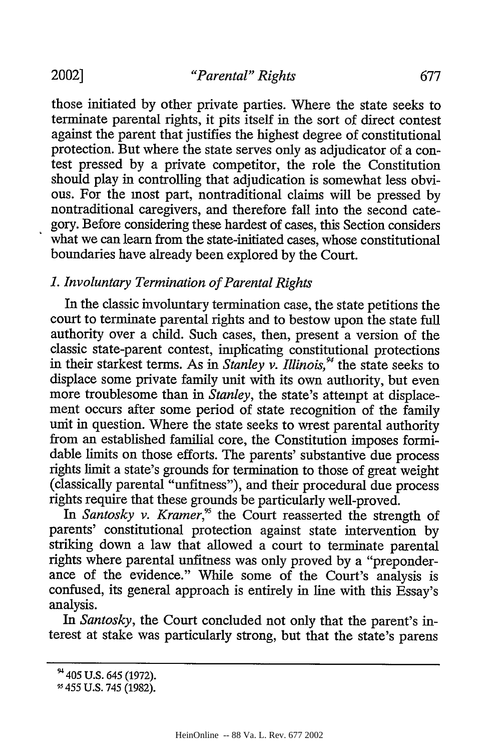those initiated by other private parties. Where the state seeks to terminate parental rights, it pits itself in the sort of direct contest against the parent that justifies the highest degree of constitutional protection. But where the state serves only as adjudicator of a contest pressed by a private competitor, the role the Constitution should play in controlling that adjudication is somewhat less obvious. For the most part, nontraditional claims will be pressed by nontraditional caregivers, and therefore fall into the second category. Before considering these hardest of cases, this Section considers what we can learn from the state-initiated cases, whose constitutional boundaries have already been explored by the Court.

# *1. Involuntary Termination of Parental Rights*

In the classic involuntary termination case, the state petitions the court to terminate parental rights and to bestow upon the state full authority over a child. Such cases, then, present a version of the classic state-parent contest, implicating constitutional protections in their starkest terms. As in *Stanley v. Illinois*,<sup>94</sup> the state seeks to displace some private family unit with its own authority, but even more troublesome than in *Stanley,* the state's attempt at displacement occurs after some period of state recognition of the family unit in question. Where the state seeks to wrest parental authority from an established familial core, the Constitution imposes formidable limits on those efforts. The parents' substantive due process rights limit a state's grounds for termination to those of great weight (classically parental "unfitness"), and their procedural due process rights require that these grounds be particularly well-proved.

In Santosky v. Kramer,<sup>95</sup> the Court reasserted the strength of parents' constitutional protection against state intervention by striking down a law that allowed a court to terminate parental rights where parental unfitness was only proved by a "preponderance of the evidence." While some of the Court's analysis is confused, its general approach is entirely in line with this Essay's analysis.

*In Santosky,* the Court concluded not only that the parent's interest at stake was particularly strong, but that the state's parens

<sup>&</sup>lt;sup>94</sup> 405 U.S. 645 (1972).

*<sup>-</sup>* 455 U.S. 745 (1982).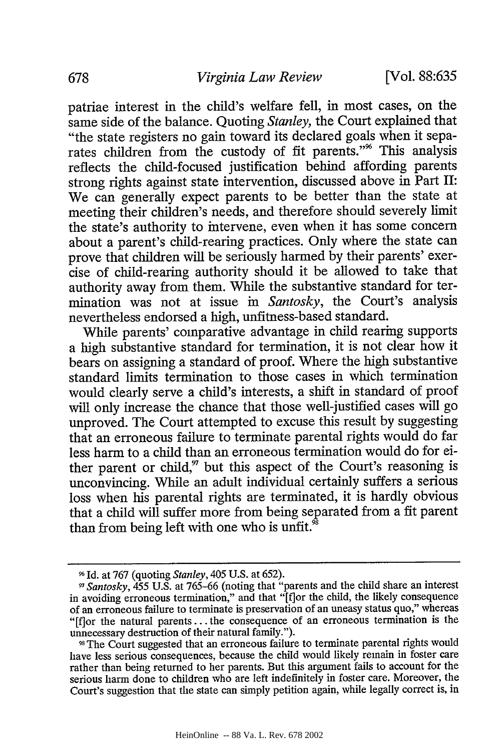patriae interest in the child's welfare fell, in most cases, on the same side of the balance. Quoting *Stanley,* the Court explained that "the state registers no gain toward its declared goals when it separates children from the custody of fit parents."<sup>%</sup> This analysis reflects the child-focused justification behind affording parents strong rights against state intervention, discussed above in Part II: We can generally expect parents to be better than the state at meeting their children's needs, and therefore should severely limit the state's authority to intervene, even when it has some concern about a parent's child-rearing practices. Only where the state can prove that children will be seriously harmed by their parents' exercise of child-rearing authority should it be allowed to take that authority away from them. While the substantive standard for termination was not at issue in *Santosky,* the Court's analysis nevertheless endorsed a high, unfitness-based standard.

While parents' comparative advantage in child rearing supports a high substantive standard for termination, it is not clear how it bears on assigning a standard of proof. Where the high substantive standard limits termination to those cases in which termination would clearly serve a child's interests, a shift in standard of proof will only increase the chance that those well-justified cases will go unproved. The Court attempted to excuse this result by suggesting that an erroneous failure to terminate parental rights would do far less harm to a child than an erroneous termination would do for either parent or child, $''$  but this aspect of the Court's reasoning is unconvincing. While an adult individual certainly suffers a serious loss when his parental rights are terminated, it is hardly obvious that a child will suffer more from being separated from a fit parent than from being left with one who is unfit. $\sin^3$ 

Id. at 767 (quoting *Stanley,* 405 U.S. at 652).

*<sup>17</sup>Santosky,* 455 U.S. at 765-66 (noting that "parents and the child share an interest in avoiding erroneous termination," and that "[f]or the child, the likely consequence of an erroneous failure to terminate is preservation of an uneasy status quo," whereas "[f]or the natural parents... the consequence of an erroneous termination is the unnecessary destruction of their natural family.").

**<sup>&</sup>quot;,The** Court suggested that an erroneous failure to terminate parental rights would have less serious consequences, because the child would likely remain in foster care rather than being returned to her parents. But this argument fails to account for the serious harm done to children who are left indefinitely in foster care. Moreover, the Court's suggestion that the state can simply petition again, while legally correct is, in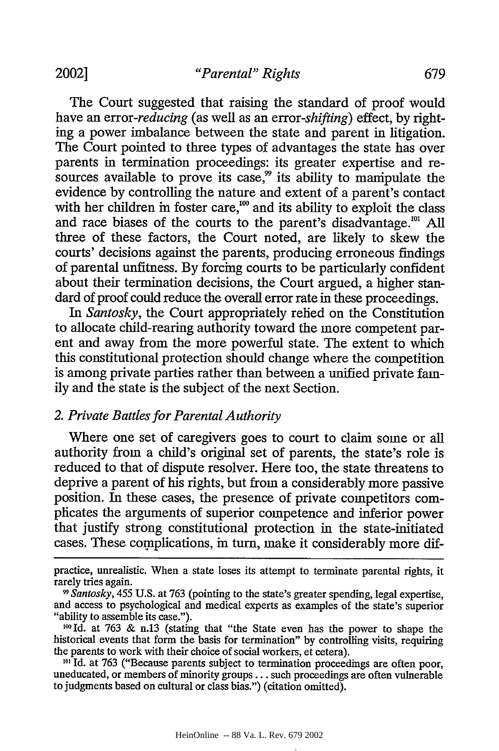The Court suggested that raising the standard of proof would have an *error-reducing* (as well as an *error-shifting)* effect, by righting a power imbalance between the state and parent in litigation. The Court pointed to three types of advantages the state has over parents in termination proceedings: its greater expertise and resources available to prove its case, $\frac{3}{2}$  its ability to mamipulate the evidence by controlling the nature and extent of a parent's contact with her children in foster care, $\frac{1}{100}$  and its ability to exploit the class and race biases of the courts to the parent's disadvantage."' All three of these factors, the Court noted, are likely to skew the courts' decisions against the parents, producing erroneous findings of parental unfitness. By forcing courts to be particularly confident about their termination decisions, the Court argued, a higher standard of proof could reduce the overall error rate in these proceedings.

*In Santosky,* the Court appropriately relied on the Constitution to allocate child-rearing authority toward the more competent parent and away from the more powerful state. The extent to which this constitutional protection should change where the competition is among private parties rather than between a unified private family and the state is the subject of the next Section.

# *2. Private Battles for Parental Authority*

Where one set of caregivers goes to court to claim some or all authority from a child's original set of parents, the state's role is reduced to that of dispute resolver. Here too, the state threatens to deprive a parent of his rights, but from a considerably more passive position. In these cases, the presence of private competitors complicates the arguments of superior competence and inferior power that justify strong constitutional protection in the state-initiated cases. These complications, in turn, make it considerably more dif-

practice, unrealistic. When a state loses its attempt to terminate parental rights, it rarely tries again.

*<sup>19</sup> Santosky,* 455 U.S. at 763 (pointing to the state's greater spending, legal expertise, and access to psychological and medical experts as examples of the state's superior "ability to assemble its case.").

 $100$  Id. at 763 & n.13 (stating that "the State even has the power to shape the historical events that form the basis for termination" by controlling visits, requiring the parents to work with their choice of social workers, et cetera).

<sup>&</sup>lt;sup>101</sup> Id. at 763 ("Because parents subject to termination proceedings are often poor, uneducated, or members of minority groups... such proceedings are often vulnerable to judgments based on cultural or class bias.") (citation omitted).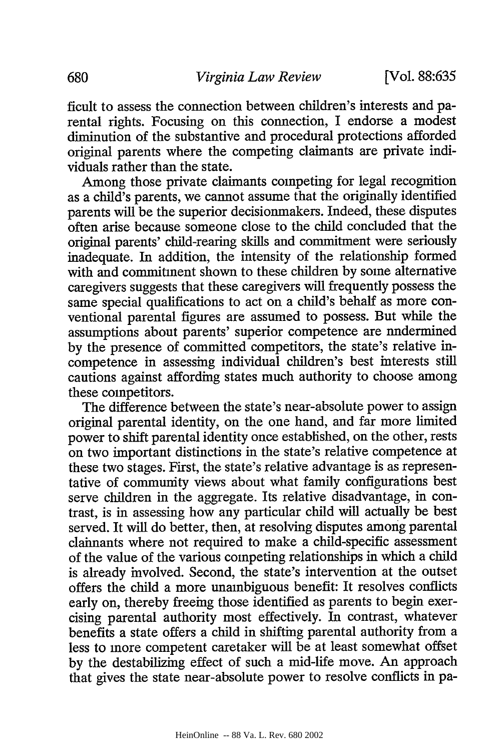ficult to assess the connection between children's interests and parental rights. Focusing on this connection, **I** endorse a modest diminution of the substantive and procedural protections afforded original parents where the competing claimants are private individuals rather than the state.

Among those private claimants competing for legal recognition as a child's parents, we cannot assume that the originally identified parents will be the superior decisionmakers. Indeed, these disputes often arise because someone close to the child concluded that the original parents' child-rearing skills and commitment were seriously inadequate. In addition, the intensity of the relationship formed with and commitment shown to these children **by** some alternative caregivers suggests that these caregivers will frequently possess the same special qualifications to act on a child's behalf as more conventional parental figures are assumed to possess. But while the assumptions about parents' superior competence are nndermined **by** the presence of committed competitors, the state's relative incompetence in assessing individual children's best interests still cautions against affording states much authority to choose among these competitors.

The difference between the state's near-absolute power to assign original parental identity, on the one hand, and far more limited power to shift parental identity once established, on the other, rests on two important distinctions in the state's relative competence at these two stages. First, the state's relative advantage is as representative of community views about what family configurations best serve children in the aggregate. Its relative disadvantage, in contrast, is in assessing how any particular child will actually be best served. It will do better, then, at resolving disputes among parental claimants where not required to make a child-specific assessment of the value of the various competing relationships in which a child is already involved. Second, the state's intervention at the outset offers the child a more unambiguous benefit: It resolves conflicts early on, thereby freeing those identified as parents to begin exercising parental authority most effectively. In contrast, whatever benefits a state offers a child in shifting parental authority from a less to more competent caretaker will be at least somewhat offset **by** the destabilizing effect of such a mid-life move. An approach that gives the state near-absolute power to resolve conflicts in pa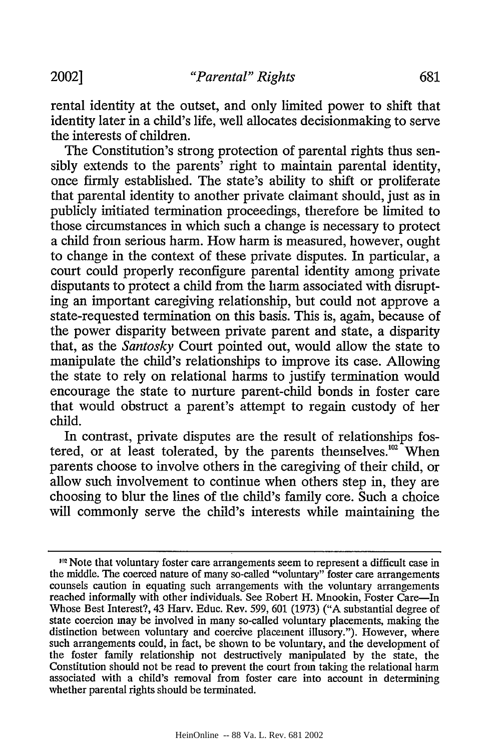rental identity at the outset, and only limited power to shift that identity later in a child's life, well allocates decisionmaking to serve the interests of children.

The Constitution's strong protection of parental rights thus sensibly extends to the parents' right to maintain parental identity, once firmly established. The state's ability to shift or proliferate that parental identity to another private claimant should, just as in publicly initiated termination proceedings, therefore be limited to those circumstances in which such a change is necessary to protect a child from serious harm. How harm is measured, however, ought to change in the context of these private disputes. In particular, a court could properly reconfigure parental identity among private disputants to protect a child from the harm associated with disrupting an important caregiving relationship, but could not approve a state-requested termination on this basis. This is, again, because of the power disparity between private parent and state, a disparity that, as the *Santosky* Court pointed out, would allow the state to manipulate the child's relationships to improve its case. Allowing the state to rely on relational harms to justify termination would encourage the state to nurture parent-child bonds in foster care that would obstruct a parent's attempt to regain custody of her child.

In contrast, private disputes are the result of relationships fostered, or at least tolerated, by the parents themselves. $102$  When parents choose to involve others in the caregiving of their child, or allow such involvement to continue when others step in, they are choosing to blur the lines of the child's family core. Such a choice will commonly serve the child's interests while maintaining the

<sup>19</sup> Note that voluntary foster care arrangements seem to represent a difficult case in the middle. The coerced nature of many so-called "voluntary" foster care arrangements counsels caution in equating such arrangements with the voluntary arrangements reached informally with other individuals. See Robert H. Mnookin, Foster Care-In Whose Best Interest?, 43 Harv. Educ. Rev. 599, 601 (1973) ("A substantial degree of state coercion may be involved in many so-called voluntary placements, making the distinction between voluntary and coercive placement illusory."). However, where such arrangements could, in fact, be shown to be voluntary, and the development of the foster family relationship not destructively manipulated by the state, the Constitution should not be read to prevent the court from taking the relational harm associated with a child's removal from foster care into account in determining whether parental rights should be terminated.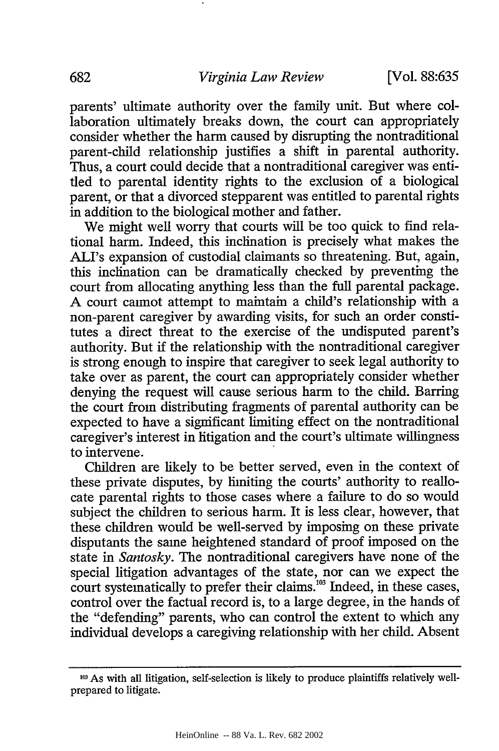parents' ultimate authority over the family unit. But where collaboration ultimately breaks down, the court can appropriately consider whether the harm caused by disrupting the nontraditional parent-child relationship justifies a shift in parental authority. Thus, a court could decide that a nontraditional caregiver was entitled to parental identity rights to the exclusion of a biological parent, or that a divorced stepparent was entitled to parental rights in addition to the biological mother and father.

We might well worry that courts will be too quick to find relational harm. Indeed, this inclination is precisely what makes the ALI's expansion of custodial claimants so threatening. But, again, this inclination can be dramatically checked by preventing the court from allocating anything less than the full parental package. A court cannot attempt to maintain a child's relationship with a non-parent caregiver by awarding visits, for such an order constitutes a direct threat to the exercise of the undisputed parent's authority. But if the relationship with the nontraditional caregiver is strong enough to inspire that caregiver to seek legal authority to take over as parent, the court can appropriately consider whether denying the request will cause serious harm to the child. Barring the court from distributing fragments of parental authority can be expected to have a significant limiting effect on the nontraditional caregiver's interest in litigation and the court's ultimate willingness to intervene.

Children are likely to be better served, even in the context of these private disputes, by limiting the courts' authority to reallocate parental rights to those cases where a failure to do so would subject the children to serious harm. It is less clear, however, that these children would be well-served by imposing on these private disputants the same heightened standard of proof imposed on the state in *Santosky.* The nontraditional caregivers have none of the special litigation advantages of the state, nor can we expect the court systematically to prefer their claims.<sup>103</sup> Indeed, in these cases, control over the factual record is, to a large degree, in the hands of the "defending" parents, who can control the extent to which any individual develops a caregiving relationship with her child. Absent

**<sup>103</sup>** As with all litigation, self-selection is likely to produce plaintiffs relatively wellprepared to litigate.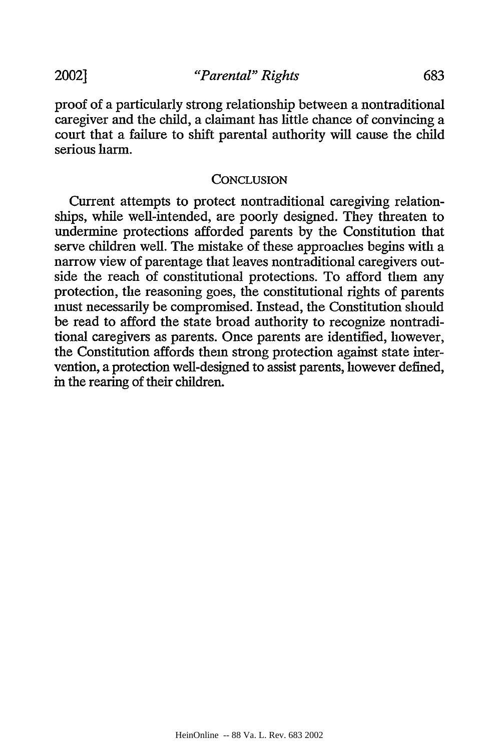proof of a particularly strong relationship between a nontraditional caregiver and the child, a claimant has little chance of convincing a court that a failure to shift parental authority will cause the child serious harm.

#### **CONCLUSION**

Current attempts to protect nontraditional caregiving relationships, while well-intended, are poorly designed. They threaten to undermine protections afforded parents by the Constitution that serve children well. The mistake of these approaches begins with a narrow view of parentage that leaves nontraditional caregivers outside the reach of constitutional protections. To afford them any protection, the reasoning goes, the constitutional rights of parents must necessarily be compromised. Instead, the Constitution should be read to afford the state broad authority to recognize nontraditional caregivers as parents. Once parents are identified, however, the Constitution affords them strong protection against state intervention, a protection well-designed to assist parents, however defined, in the rearing of their children.